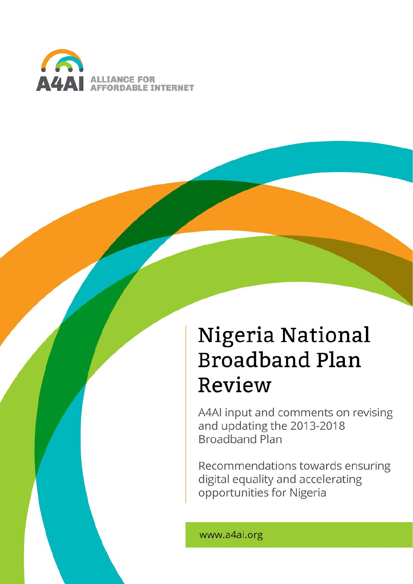

# Nigeria National **Broadband Plan** Review

A4AI input and comments on revising and updating the 2013-2018 **Broadband Plan** 

Recommendations towards ensuring digital equality and accelerating opportunities for Nigeria

www.a4ai.org

*A4AI Review of the Nigeria National Broadband Plan 2013-2018* 0/39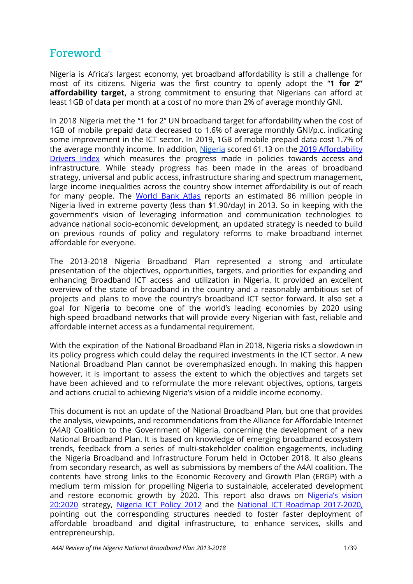## <span id="page-1-0"></span>Foreword

Nigeria is Africa's largest economy, yet broadband affordability is still a challenge for most of its citizens. Nigeria was the first country to openly adopt the "**1 for 2" affordability target,** a strong commitment to ensuring that Nigerians can afford at least 1GB of data per month at a cost of no more than 2% of average monthly GNI.

In 2018 Nigeria met the "1 for 2" UN broadband target for affordability when the cost of 1GB of mobile prepaid data decreased to 1.6% of average monthly GNI/p.c. indicating some improvement in the ICT sector. In 2019, 1GB of mobile prepaid data cost 1.7% of the average monthly income. In addition, [Nigeria](https://a4ai.org/affordability-report/data/?_year=2019&indicator=INDEX&country=NGA) scored 61.13 on the 2019 [Affordability](https://a4ai.org/affordability-report/report/2019/) [Drivers](https://a4ai.org/affordability-report/report/2019/) Index which measures the progress made in policies towards access and infrastructure. While steady progress has been made in the areas of broadband strategy, universal and public access, infrastructure sharing and spectrum management, large income inequalities across the country show internet affordability is out of reach for many people. The [World](http://datatopics.worldbank.org/sdgatlas/SDG-01-no-poverty.html) Bank Atlas reports an estimated 86 million people in Nigeria lived in extreme poverty (less than \$1.90/day) in 2013. So in keeping with the government's vision of leveraging information and communication technologies to advance national socio-economic development, an updated strategy is needed to build on previous rounds of policy and regulatory reforms to make broadband internet affordable for everyone.

The 2013-2018 Nigeria Broadband Plan represented a strong and articulate presentation of the objectives, opportunities, targets, and priorities for expanding and enhancing Broadband ICT access and utilization in Nigeria. It provided an excellent overview of the state of broadband in the country and a reasonably ambitious set of projects and plans to move the country's broadband ICT sector forward. It also set a goal for Nigeria to become one of the world's leading economies by 2020 using high-speed broadband networks that will provide every Nigerian with fast, reliable and affordable internet access as a fundamental requirement.

With the expiration of the National Broadband Plan in 2018, Nigeria risks a slowdown in its policy progress which could delay the required investments in the ICT sector. A new National Broadband Plan cannot be overemphasized enough. In making this happen however, it is important to assess the extent to which the objectives and targets set have been achieved and to reformulate the more relevant objectives, options, targets and actions crucial to achieving Nigeria's vision of a middle income economy.

This document is not an update of the National Broadband Plan, but one that provides the analysis, viewpoints, and recommendations from the Alliance for Affordable Internet (A4AI) Coalition to the Government of Nigeria, concerning the development of a new National Broadband Plan. It is based on knowledge of emerging broadband ecosystem trends, feedback from a series of multi-stakeholder coalition engagements, including the Nigeria Broadband and Infrastructure Forum held in October 2018. It also gleans from secondary research, as well as submissions by members of the A4AI coalition. The contents have strong links to the Economic Recovery and Growth Plan (ERGP) with a medium term mission for propelling Nigeria to sustainable, accelerated development and restore economic growth by 2020. This report also draws on [Nigeria's](http://a4ai.org/wp-content/uploads/2014/03/Nigeria-Vision-2020_0.pdf) vision [20:2020](http://a4ai.org/wp-content/uploads/2014/03/Nigeria-Vision-2020_0.pdf) strategy, [Nigeria](http://a4ai.org/wp-content/uploads/2014/03/Approved_ICT_Policy-2012.pdf) ICT Policy 2012 and the National ICT Roadmap [2017-2020,](http://www.commtech.gov.ng/Doc/Nigeria_ICT_Roadmap_2017-2020.pdf) pointing out the corresponding structures needed to foster faster deployment of affordable broadband and digital infrastructure, to enhance services, skills and entrepreneurship.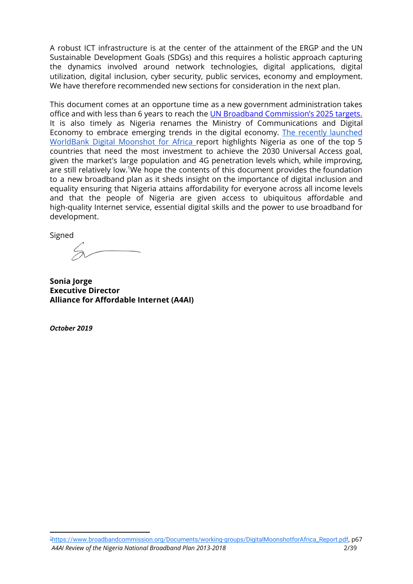A robust ICT infrastructure is at the center of the attainment of the ERGP and the UN Sustainable Development Goals (SDGs) and this requires a holistic approach capturing the dynamics involved around network technologies, digital applications, digital utilization, digital inclusion, cyber security, public services, economy and employment. We have therefore recommended new sections for consideration in the next plan.

This document comes at an opportune time as a new government administration takes office and with less than 6 years to reach the UN Broadband [Commission's](https://broadbandcommission.org/Documents/publications/wef2018.pdf) 2025 targets. It is also timely as Nigeria renames the Ministry of Communications and Digital Economy to embrace emerging trends in the digital economy. The recently [launched](https://www.broadbandcommission.org/Documents/working-groups/DigitalMoonshotforAfrica_Report.pdf) [WorldBank](https://www.broadbandcommission.org/Documents/working-groups/DigitalMoonshotforAfrica_Report.pdf) Digital Moonshot for Africa report highlights Nigeria as one of the top 5 countries that need the most investment to achieve the 2030 Universal Access goal, given the market's large population and 4G penetration levels which, while improving, are still relatively low.<sup>1</sup>We hope the contents of this document provides the foundation to a new broadband plan as it sheds insight on the importance of digital inclusion and equality ensuring that Nigeria attains affordability for everyone across all income levels and that the people of Nigeria are given access to ubiquitous affordable and high-quality Internet service, essential digital skills and the power to use broadband for development.

Signed

**Sonia Jorge Executive Director Alliance for Affordable Internet (A4AI)**

*October 2019*

<sup>1</sup>[https://www.broadbandcommission.org/Documents/working-groups/DigitalMoonshotforAfrica\\_Report.pdf](https://www.broadbandcommission.org/Documents/working-groups/DigitalMoonshotforAfrica_Report.pdf), p67 *A4AI Review of the Nigeria National Broadband Plan 2013-2018* 2/39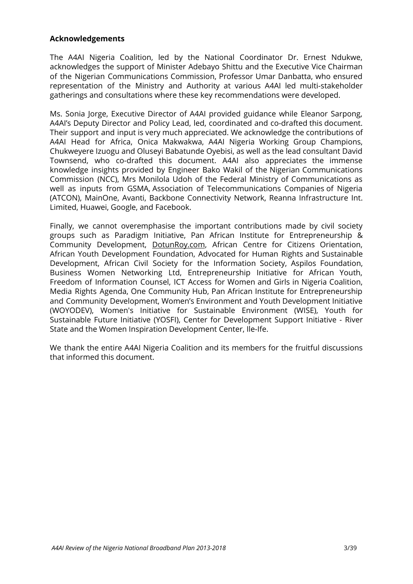#### **Acknowledgements**

The A4AI Nigeria Coalition, led by the National Coordinator Dr. Ernest Ndukwe, acknowledges the support of Minister Adebayo Shittu and the Executive Vice Chairman of the Nigerian Communications Commission, Professor Umar Danbatta, who ensured representation of the Ministry and Authority at various A4AI led multi-stakeholder gatherings and consultations where these key recommendations were developed.

Ms. Sonia Jorge, Executive Director of A4AI provided guidance while Eleanor Sarpong, A4AI's Deputy Director and Policy Lead, led, coordinated and co-drafted this document. Their support and input is very much appreciated. We acknowledge the contributions of A4AI Head for Africa, Onica Makwakwa, A4AI Nigeria Working Group Champions, Chukweyere Izuogu and Oluseyi Babatunde Oyebisi, as well as the lead consultant David Townsend, who co-drafted this document. A4AI also appreciates the immense knowledge insights provided by Engineer Bako Wakil of the Nigerian Communications Commission (NCC), Mrs Monilola Udoh of the Federal Ministry of Communications as well as inputs from GSMA, Association of Telecommunications Companies of Nigeria (ATCON), MainOne, Avanti, Backbone Connectivity Network, Reanna Infrastructure Int. Limited, Huawei, Google, and Facebook.

Finally, we cannot overemphasise the important contributions made by civil society groups such as Paradigm Initiative, Pan African Institute for Entrepreneurship & Community Development, [DotunRoy.com,](http://dotunroy.com/) African Centre for Citizens Orientation, African Youth Development Foundation, Advocated for Human Rights and Sustainable Development, African Civil Society for the Information Society, Aspilos Foundation, Business Women Networking Ltd, Entrepreneurship Initiative for African Youth, Freedom of Information Counsel, ICT Access for Women and Girls in Nigeria Coalition, Media Rights Agenda, One Community Hub, Pan African Institute for Entrepreneurship and Community Development, Women's Environment and Youth Development Initiative (WOYODEV), Women's Initiative for Sustainable Environment (WISE), Youth for Sustainable Future Initiative (YOSFI), Center for Development Support Initiative - River State and the Women Inspiration Development Center, Ile-Ife.

We thank the entire A4AI Nigeria Coalition and its members for the fruitful discussions that informed this document.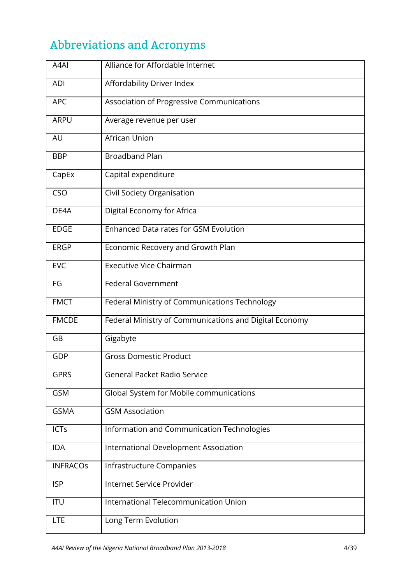## <span id="page-4-0"></span>Abbreviations and Acronyms

| A4AI            | Alliance for Affordable Internet                       |
|-----------------|--------------------------------------------------------|
| <b>ADI</b>      | Affordability Driver Index                             |
| <b>APC</b>      | Association of Progressive Communications              |
| <b>ARPU</b>     | Average revenue per user                               |
| AU              | African Union                                          |
| <b>BBP</b>      | <b>Broadband Plan</b>                                  |
| CapEx           | Capital expenditure                                    |
| CSO             | Civil Society Organisation                             |
| DE4A            | Digital Economy for Africa                             |
| <b>EDGE</b>     | <b>Enhanced Data rates for GSM Evolution</b>           |
| <b>ERGP</b>     | Economic Recovery and Growth Plan                      |
| <b>EVC</b>      | <b>Executive Vice Chairman</b>                         |
| FG              | <b>Federal Government</b>                              |
| <b>FMCT</b>     | Federal Ministry of Communications Technology          |
| <b>FMCDE</b>    | Federal Ministry of Communications and Digital Economy |
| GB              | Gigabyte                                               |
| <b>GDP</b>      | <b>Gross Domestic Product</b>                          |
| <b>GPRS</b>     | <b>General Packet Radio Service</b>                    |
| <b>GSM</b>      | Global System for Mobile communications                |
| <b>GSMA</b>     | <b>GSM Association</b>                                 |
| <b>ICTs</b>     | Information and Communication Technologies             |
| <b>IDA</b>      | International Development Association                  |
| <b>INFRACOS</b> | Infrastructure Companies                               |
| <b>ISP</b>      | Internet Service Provider                              |
| <b>ITU</b>      | International Telecommunication Union                  |
| <b>LTE</b>      | Long Term Evolution                                    |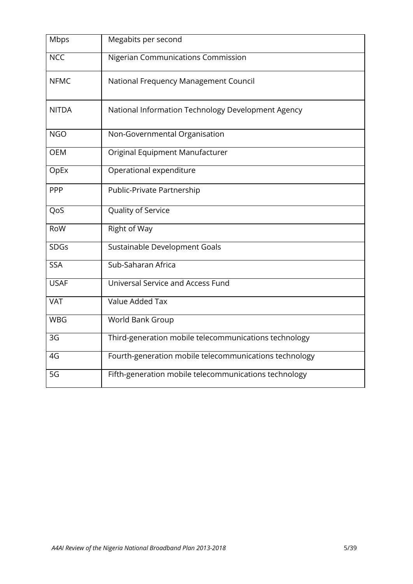| Mbps         | Megabits per second                                    |
|--------------|--------------------------------------------------------|
| <b>NCC</b>   | Nigerian Communications Commission                     |
| <b>NFMC</b>  | National Frequency Management Council                  |
| <b>NITDA</b> | National Information Technology Development Agency     |
| <b>NGO</b>   | Non-Governmental Organisation                          |
| <b>OEM</b>   | Original Equipment Manufacturer                        |
| OpEx         | Operational expenditure                                |
| PPP          | Public-Private Partnership                             |
| QoS          | Quality of Service                                     |
| RoW          | Right of Way                                           |
| <b>SDGs</b>  | Sustainable Development Goals                          |
| <b>SSA</b>   | Sub-Saharan Africa                                     |
| <b>USAF</b>  | Universal Service and Access Fund                      |
| <b>VAT</b>   | Value Added Tax                                        |
| <b>WBG</b>   | World Bank Group                                       |
| 3G           | Third-generation mobile telecommunications technology  |
| 4G           | Fourth-generation mobile telecommunications technology |
| 5G           | Fifth-generation mobile telecommunications technology  |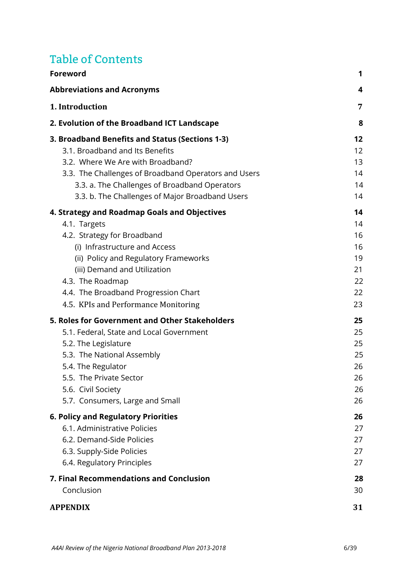## Table of Contents

| <b>Foreword</b>                                      | 1  |
|------------------------------------------------------|----|
| <b>Abbreviations and Acronyms</b>                    | 4  |
| 1. Introduction                                      | 7  |
| 2. Evolution of the Broadband ICT Landscape          | 8  |
| 3. Broadband Benefits and Status (Sections 1-3)      | 12 |
| 3.1. Broadband and Its Benefits                      | 12 |
| 3.2. Where We Are with Broadband?                    | 13 |
| 3.3. The Challenges of Broadband Operators and Users | 14 |
| 3.3. a. The Challenges of Broadband Operators        | 14 |
| 3.3. b. The Challenges of Major Broadband Users      | 14 |
| 4. Strategy and Roadmap Goals and Objectives         | 14 |
| 4.1. Targets                                         | 14 |
| 4.2. Strategy for Broadband                          | 16 |
| (i) Infrastructure and Access                        | 16 |
| (ii) Policy and Regulatory Frameworks                | 19 |
| (iii) Demand and Utilization                         | 21 |
| 4.3. The Roadmap                                     | 22 |
| 4.4. The Broadband Progression Chart                 | 22 |
| 4.5. KPIs and Performance Monitoring                 | 23 |
| 5. Roles for Government and Other Stakeholders       | 25 |
| 5.1. Federal, State and Local Government             | 25 |
| 5.2. The Legislature                                 | 25 |
| 5.3. The National Assembly                           | 25 |
| 5.4. The Regulator                                   | 26 |
| 5.5. The Private Sector                              | 26 |
| 5.6. Civil Society                                   | 26 |
| 5.7. Consumers, Large and Small                      | 26 |
| <b>6. Policy and Regulatory Priorities</b>           | 26 |
| 6.1. Administrative Policies                         | 27 |
| 6.2. Demand-Side Policies                            | 27 |
| 6.3. Supply-Side Policies                            | 27 |
| 6.4. Regulatory Principles                           | 27 |
| 7. Final Recommendations and Conclusion              | 28 |
| Conclusion                                           | 30 |
| <b>APPENDIX</b>                                      | 31 |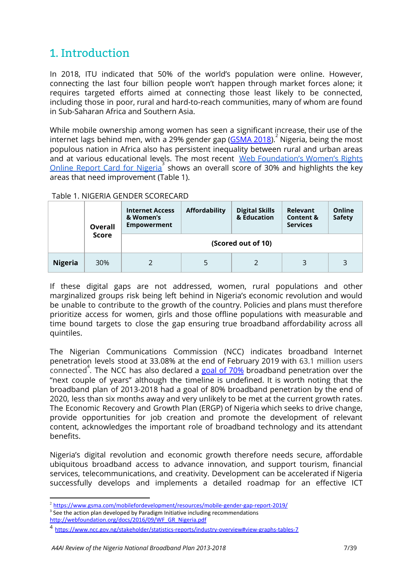## <span id="page-7-0"></span>1. Introduction

In 2018, ITU indicated that 50% of the world's population were online. However, connecting the last four billion people won't happen through market forces alone; it requires targeted efforts aimed at connecting those least likely to be connected, including those in poor, rural and hard-to-reach communities, many of whom are found in Sub-Saharan Africa and Southern Asia.

While mobile ownership among women has seen a significant increase, their use of the internet lags behind men, with a 29% gender gap ( $GSMA 2018$  $GSMA 2018$  $GSMA 2018$ ). Nigeria, being the most</u> populous nation in Africa also has persistent inequality between rural and urban areas and at various educational levels. The most recent Web [Foundation's](http://webfoundation.org/docs/2016/09/WF_GR_Nigeria.pdf) Women's Rights Online Report Card for [Nigeria](http://webfoundation.org/docs/2016/09/WF_GR_Nigeria.pdf)<sup>3</sup> shows an overall score of 30% and highlights the key areas that need improvement (Table 1).

#### Table 1. NIGERIA GENDER SCORECARD

|                | Overall      | <b>Internet Access</b><br>& Women's<br><b>Empowerment</b> | Relevant<br><b>Content &amp;</b><br><b>Services</b> | Online<br><b>Safety</b> |   |   |  |  |
|----------------|--------------|-----------------------------------------------------------|-----------------------------------------------------|-------------------------|---|---|--|--|
|                | <b>Score</b> | (Scored out of 10)                                        |                                                     |                         |   |   |  |  |
| <b>Nigeria</b> | 30%          |                                                           | 5                                                   |                         | 3 | 3 |  |  |

If these digital gaps are not addressed, women, rural populations and other marginalized groups risk being left behind in Nigeria's economic revolution and would be unable to contribute to the growth of the country. Policies and plans must therefore prioritize access for women, girls and those offline populations with measurable and time bound targets to close the gap ensuring true broadband affordability across all quintiles.

The Nigerian Communications Commission (NCC) indicates broadband Internet penetration levels stood at 33.08% at the end of February 2019 with 63.1 million users .<br>connected<sup>4</sup>. The NCC has also declared a goal of [70%](https://www.thisdaylive.com/index.php/2019/04/08/ncc-assures-nigerians-of-70-broadband-penetration/) broadband penetration over the "next couple of years" although the timeline is undefined. It is worth noting that the broadband plan of 2013-2018 had a goal of 80% broadband penetration by the end of 2020, less than six months away and very unlikely to be met at the current growth rates. The Economic Recovery and Growth Plan (ERGP) of Nigeria which seeks to drive change, provide opportunities for job creation and promote the development of relevant content, acknowledges the important role of broadband technology and its attendant benefits.

Nigeria's digital revolution and economic growth therefore needs secure, affordable ubiquitous broadband access to advance innovation, and support tourism, financial services, telecommunications, and creativity. Development can be accelerated if Nigeria successfully develops and implements a detailed roadmap for an effective ICT

<sup>&</sup>lt;sup>2</sup> <https://www.gsma.com/mobilefordevelopment/resources/mobile-gender-gap-report-2019/>

 $3$  See the action plan developed by Paradigm Initiative including recommendations [http://webfoundation.org/docs/2016/09/WF\\_GR\\_Nigeria.pdf](http://webfoundation.org/docs/2016/09/WF_GR_Nigeria.pdf)

<sup>4</sup> <https://www.ncc.gov.ng/stakeholder/statistics-reports/industry-overview#view-graphs-tables-7>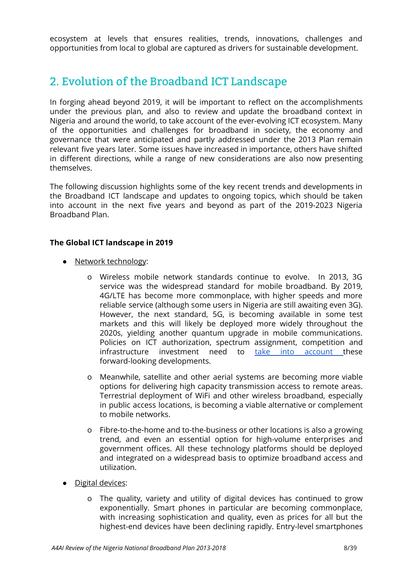ecosystem at levels that ensures realities, trends, innovations, challenges and opportunities from local to global are captured as drivers for sustainable development.

## <span id="page-8-0"></span>2. Evolution of the Broadband ICT Landscape

In forging ahead beyond 2019, it will be important to reflect on the accomplishments under the previous plan, and also to review and update the broadband context in Nigeria and around the world, to take account of the ever-evolving ICT ecosystem. Many of the opportunities and challenges for broadband in society, the economy and governance that were anticipated and partly addressed under the 2013 Plan remain relevant five years later. Some issues have increased in importance, others have shifted in different directions, while a range of new considerations are also now presenting themselves.

The following discussion highlights some of the key recent trends and developments in the Broadband ICT landscape and updates to ongoing topics, which should be taken into account in the next five years and beyond as part of the 2019-2023 Nigeria Broadband Plan.

### **The Global ICT landscape in 2019**

- Network technology:
	- o Wireless mobile network standards continue to evolve. In 2013, 3G service was the widespread standard for mobile broadband. By 2019, 4G/LTE has become more commonplace, with higher speeds and more reliable service (although some users in Nigeria are still awaiting even 3G). However, the next standard, 5G, is becoming available in some test markets and this will likely be deployed more widely throughout the 2020s, yielding another quantum upgrade in mobile communications. Policies on ICT authorization, spectrum assignment, competition and infrastructure investment need to take into [account](https://webfoundation.org/2019/04/5g-is-here-can-it-deliver-on-affordable-access-to-close-the-digital-divide/) these forward-looking developments.
	- o Meanwhile, satellite and other aerial systems are becoming more viable options for delivering high capacity transmission access to remote areas. Terrestrial deployment of WiFi and other wireless broadband, especially in public access locations, is becoming a viable alternative or complement to mobile networks.
	- o Fibre-to-the-home and to-the-business or other locations is also a growing trend, and even an essential option for high-volume enterprises and government offices. All these technology platforms should be deployed and integrated on a widespread basis to optimize broadband access and utilization.
- Digital devices:
	- o The quality, variety and utility of digital devices has continued to grow exponentially. Smart phones in particular are becoming commonplace, with increasing sophistication and quality, even as prices for all but the highest-end devices have been declining rapidly. Entry-level smartphones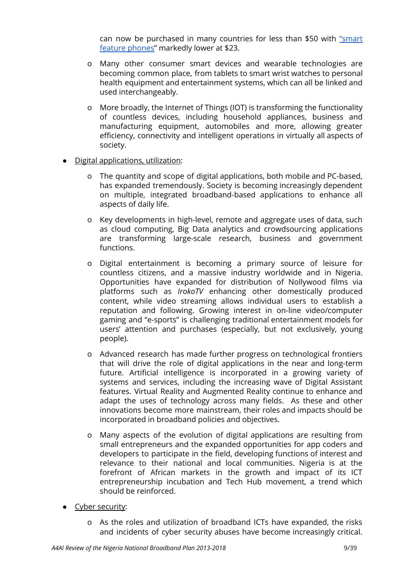can now be purchased in many countries for less than \$50 with ["smart](https://www.wsj.com/articles/the-hottest-phones-for-the-next-billion-users-arent-smartphones-11563879608) feature [phones"](https://www.wsj.com/articles/the-hottest-phones-for-the-next-billion-users-arent-smartphones-11563879608) markedly lower at \$23.

- o Many other consumer smart devices and wearable technologies are becoming common place, from tablets to smart wrist watches to personal health equipment and entertainment systems, which can all be linked and used interchangeably.
- o More broadly, the Internet of Things (IOT) is transforming the functionality of countless devices, including household appliances, business and manufacturing equipment, automobiles and more, allowing greater efficiency, connectivity and intelligent operations in virtually all aspects of society.
- Digital applications, utilization:
	- o The quantity and scope of digital applications, both mobile and PC-based, has expanded tremendously. Society is becoming increasingly dependent on multiple, integrated broadband-based applications to enhance all aspects of daily life.
	- o Key developments in high-level, remote and aggregate uses of data, such as cloud computing, Big Data analytics and crowdsourcing applications are transforming large-scale research, business and government functions.
	- o Digital entertainment is becoming a primary source of leisure for countless citizens, and a massive industry worldwide and in Nigeria. Opportunities have expanded for distribution of Nollywood films via platforms such as *IrokoTV* enhancing other domestically produced content, while video streaming allows individual users to establish a reputation and following. Growing interest in on-line video/computer gaming and "e-sports" is challenging traditional entertainment models for users' attention and purchases (especially, but not exclusively, young people).
	- o Advanced research has made further progress on technological frontiers that will drive the role of digital applications in the near and long-term future. Artificial intelligence is incorporated in a growing variety of systems and services, including the increasing wave of Digital Assistant features. Virtual Reality and Augmented Reality continue to enhance and adapt the uses of technology across many fields. As these and other innovations become more mainstream, their roles and impacts should be incorporated in broadband policies and objectives.
	- o Many aspects of the evolution of digital applications are resulting from small entrepreneurs and the expanded opportunities for app coders and developers to participate in the field, developing functions of interest and relevance to their national and local communities. Nigeria is at the forefront of African markets in the growth and impact of its ICT entrepreneurship incubation and Tech Hub movement, a trend which should be reinforced.
- Cyber security:
	- o As the roles and utilization of broadband ICTs have expanded, the risks and incidents of cyber security abuses have become increasingly critical.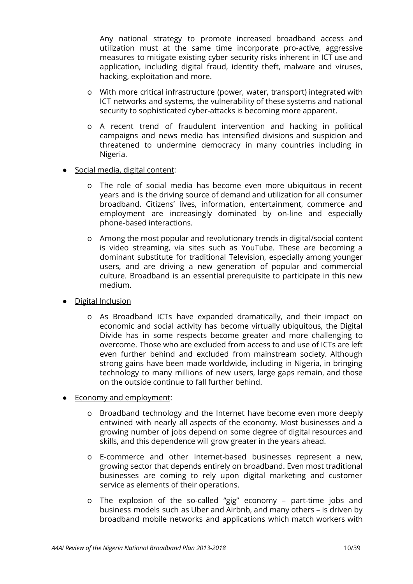Any national strategy to promote increased broadband access and utilization must at the same time incorporate pro-active, aggressive measures to mitigate existing cyber security risks inherent in ICT use and application, including digital fraud, identity theft, malware and viruses, hacking, exploitation and more.

- o With more critical infrastructure (power, water, transport) integrated with ICT networks and systems, the vulnerability of these systems and national security to sophisticated cyber-attacks is becoming more apparent.
- o A recent trend of fraudulent intervention and hacking in political campaigns and news media has intensified divisions and suspicion and threatened to undermine democracy in many countries including in Nigeria.

#### • Social media, digital content:

- o The role of social media has become even more ubiquitous in recent years and is the driving source of demand and utilization for all consumer broadband. Citizens' lives, information, entertainment, commerce and employment are increasingly dominated by on-line and especially phone-based interactions.
- o Among the most popular and revolutionary trends in digital/social content is video streaming, via sites such as YouTube. These are becoming a dominant substitute for traditional Television, especially among younger users, and are driving a new generation of popular and commercial culture. Broadband is an essential prerequisite to participate in this new medium.
- **Digital Inclusion** 
	- o As Broadband ICTs have expanded dramatically, and their impact on economic and social activity has become virtually ubiquitous, the Digital Divide has in some respects become greater and more challenging to overcome. Those who are excluded from access to and use of ICTs are left even further behind and excluded from mainstream society. Although strong gains have been made worldwide, including in Nigeria, in bringing technology to many millions of new users, large gaps remain, and those on the outside continue to fall further behind.
- **Economy and employment:** 
	- o Broadband technology and the Internet have become even more deeply entwined with nearly all aspects of the economy. Most businesses and a growing number of jobs depend on some degree of digital resources and skills, and this dependence will grow greater in the years ahead.
	- o E-commerce and other Internet-based businesses represent a new, growing sector that depends entirely on broadband. Even most traditional businesses are coming to rely upon digital marketing and customer service as elements of their operations.
	- o The explosion of the so-called "gig" economy part-time jobs and business models such as Uber and Airbnb, and many others – is driven by broadband mobile networks and applications which match workers with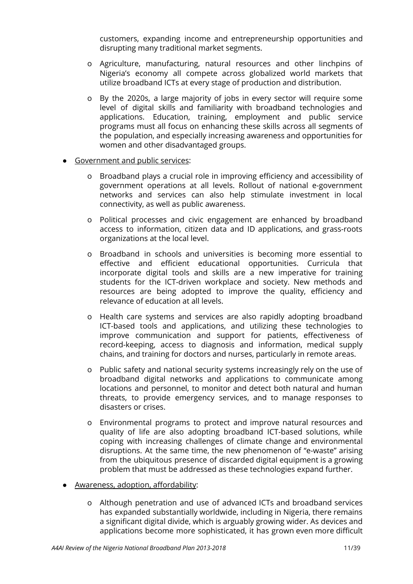customers, expanding income and entrepreneurship opportunities and disrupting many traditional market segments.

- o Agriculture, manufacturing, natural resources and other linchpins of Nigeria's economy all compete across globalized world markets that utilize broadband ICTs at every stage of production and distribution.
- o By the 2020s, a large majority of jobs in every sector will require some level of digital skills and familiarity with broadband technologies and applications. Education, training, employment and public service programs must all focus on enhancing these skills across all segments of the population, and especially increasing awareness and opportunities for women and other disadvantaged groups.
- Government and public services:
	- o Broadband plays a crucial role in improving efficiency and accessibility of government operations at all levels. Rollout of national e-government networks and services can also help stimulate investment in local connectivity, as well as public awareness.
	- o Political processes and civic engagement are enhanced by broadband access to information, citizen data and ID applications, and grass-roots organizations at the local level.
	- o Broadband in schools and universities is becoming more essential to effective and efficient educational opportunities. Curricula that incorporate digital tools and skills are a new imperative for training students for the ICT-driven workplace and society. New methods and resources are being adopted to improve the quality, efficiency and relevance of education at all levels.
	- o Health care systems and services are also rapidly adopting broadband ICT-based tools and applications, and utilizing these technologies to improve communication and support for patients, effectiveness of record-keeping, access to diagnosis and information, medical supply chains, and training for doctors and nurses, particularly in remote areas.
	- o Public safety and national security systems increasingly rely on the use of broadband digital networks and applications to communicate among locations and personnel, to monitor and detect both natural and human threats, to provide emergency services, and to manage responses to disasters or crises.
	- o Environmental programs to protect and improve natural resources and quality of life are also adopting broadband ICT-based solutions, while coping with increasing challenges of climate change and environmental disruptions. At the same time, the new phenomenon of "e-waste" arising from the ubiquitous presence of discarded digital equipment is a growing problem that must be addressed as these technologies expand further.
- Awareness, adoption, affordability:
	- o Although penetration and use of advanced ICTs and broadband services has expanded substantially worldwide, including in Nigeria, there remains a significant digital divide, which is arguably growing wider. As devices and applications become more sophisticated, it has grown even more difficult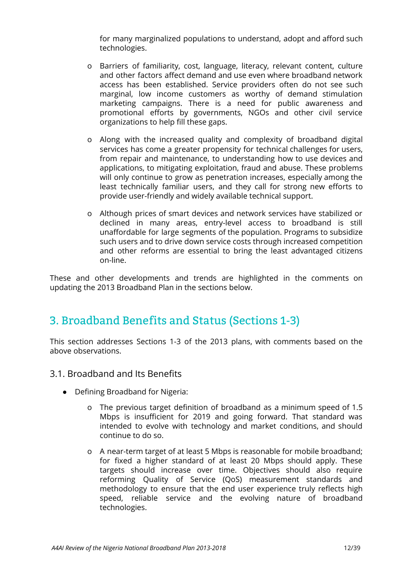for many marginalized populations to understand, adopt and afford such technologies.

- o Barriers of familiarity, cost, language, literacy, relevant content, culture and other factors affect demand and use even where broadband network access has been established. Service providers often do not see such marginal, low income customers as worthy of demand stimulation marketing campaigns. There is a need for public awareness and promotional efforts by governments, NGOs and other civil service organizations to help fill these gaps.
- o Along with the increased quality and complexity of broadband digital services has come a greater propensity for technical challenges for users, from repair and maintenance, to understanding how to use devices and applications, to mitigating exploitation, fraud and abuse. These problems will only continue to grow as penetration increases, especially among the least technically familiar users, and they call for strong new efforts to provide user-friendly and widely available technical support.
- o Although prices of smart devices and network services have stabilized or declined in many areas, entry-level access to broadband is still unaffordable for large segments of the population. Programs to subsidize such users and to drive down service costs through increased competition and other reforms are essential to bring the least advantaged citizens on-line.

These and other developments and trends are highlighted in the comments on updating the 2013 Broadband Plan in the sections below.

## <span id="page-12-0"></span>3. Broadband Benefits and Status (Sections 1-3)

This section addresses Sections 1-3 of the 2013 plans, with comments based on the above observations.

- <span id="page-12-1"></span>3.1. Broadband and Its Benefits
	- Defining Broadband for Nigeria:
		- o The previous target definition of broadband as a minimum speed of 1.5 Mbps is insufficient for 2019 and going forward. That standard was intended to evolve with technology and market conditions, and should continue to do so.
		- o A near-term target of at least 5 Mbps is reasonable for mobile broadband; for fixed a higher standard of at least 20 Mbps should apply. These targets should increase over time. Objectives should also require reforming Quality of Service (QoS) measurement standards and methodology to ensure that the end user experience truly reflects high speed, reliable service and the evolving nature of broadband technologies.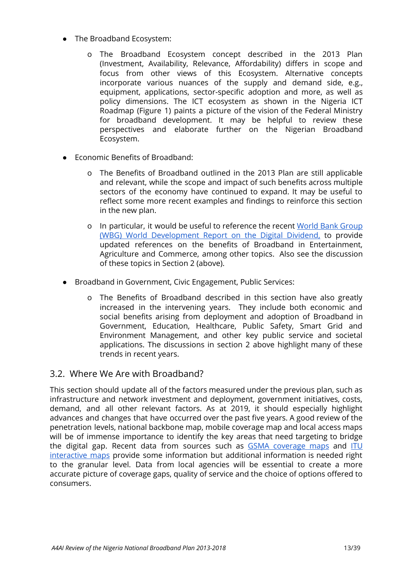- The Broadband Ecosystem:
	- o The Broadband Ecosystem concept described in the 2013 Plan (Investment, Availability, Relevance, Affordability) differs in scope and focus from other views of this Ecosystem. Alternative concepts incorporate various nuances of the supply and demand side, e.g., equipment, applications, sector-specific adoption and more, as well as policy dimensions. The ICT ecosystem as shown in the Nigeria ICT Roadmap (Figure 1) paints a picture of the vision of the Federal Ministry for broadband development. It may be helpful to review these perspectives and elaborate further on the Nigerian Broadband Ecosystem.
- **Economic Benefits of Broadband:** 
	- o The Benefits of Broadband outlined in the 2013 Plan are still applicable and relevant, while the scope and impact of such benefits across multiple sectors of the economy have continued to expand. It may be useful to reflect some more recent examples and findings to reinforce this section in the new plan.
	- o In particular, it would be useful to reference the recent World Bank [Group](https://www.worldbank.org/en/publication/wdr2016) (WBG) World [Development](https://www.worldbank.org/en/publication/wdr2016) Report on the Digital Dividend, to provide updated references on the benefits of Broadband in Entertainment, Agriculture and Commerce, among other topics. Also see the discussion of these topics in Section 2 (above).
- Broadband in Government, Civic Engagement, Public Services:
	- o The Benefits of Broadband described in this section have also greatly increased in the intervening years. They include both economic and social benefits arising from deployment and adoption of Broadband in Government, Education, Healthcare, Public Safety, Smart Grid and Environment Management, and other key public service and societal applications. The discussions in section 2 above highlight many of these trends in recent years.

## <span id="page-13-0"></span>3.2. Where We Are with Broadband?

This section should update all of the factors measured under the previous plan, such as infrastructure and network investment and deployment, government initiatives, costs, demand, and all other relevant factors. As at 2019, it should especially highlight advances and changes that have occurred over the past five years. A good review of the penetration levels, national backbone map, mobile coverage map and local access maps will be of immense importance to identify the key areas that need targeting to bridge the digital gap. Recent data from sources such as GSMA [coverage](https://www.mobilecoveragemaps.com/) maps and [ITU](https://www.itu.int/itu-d/tnd-map-public) [interactive](https://www.itu.int/itu-d/tnd-map-public) maps provide some information but additional information is needed right to the granular level. Data from local agencies will be essential to create a more accurate picture of coverage gaps, quality of service and the choice of options offered to consumers.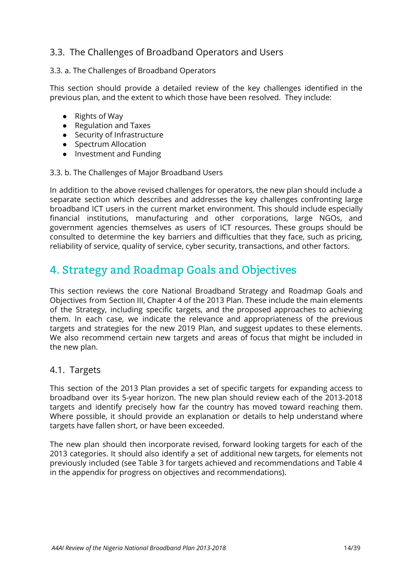## <span id="page-14-0"></span>3.3. The Challenges of Broadband Operators and Users

#### <span id="page-14-1"></span>3.3. a. The Challenges of Broadband Operators

This section should provide a detailed review of the key challenges identified in the previous plan, and the extent to which those have been resolved. They include:

- Rights of Way
- Regulation and Taxes
- Security of Infrastructure
- Spectrum Allocation
- Investment and Funding

#### <span id="page-14-2"></span>3.3. b. The Challenges of Major Broadband Users

In addition to the above revised challenges for operators, the new plan should include a separate section which describes and addresses the key challenges confronting large broadband ICT users in the current market environment. This should include especially financial institutions, manufacturing and other corporations, large NGOs, and government agencies themselves as users of ICT resources. These groups should be consulted to determine the key barriers and difficulties that they face, such as pricing, reliability of service, quality of service, cyber security, transactions, and other factors.

## <span id="page-14-3"></span>4. Strategy and Roadmap Goals and Objectives

This section reviews the core National Broadband Strategy and Roadmap Goals and Objectives from Section III, Chapter 4 of the 2013 Plan. These include the main elements of the Strategy, including specific targets, and the proposed approaches to achieving them. In each case, we indicate the relevance and appropriateness of the previous targets and strategies for the new 2019 Plan, and suggest updates to these elements. We also recommend certain new targets and areas of focus that might be included in the new plan.

#### <span id="page-14-4"></span>4.1. Targets

This section of the 2013 Plan provides a set of specific targets for expanding access to broadband over its 5-year horizon. The new plan should review each of the 2013-2018 targets and identify precisely how far the country has moved toward reaching them. Where possible, it should provide an explanation or details to help understand where targets have fallen short, or have been exceeded.

The new plan should then incorporate revised, forward looking targets for each of the 2013 categories. It should also identify a set of additional new targets, for elements not previously included (see Table 3 for targets achieved and recommendations and Table 4 in the appendix for progress on objectives and recommendations).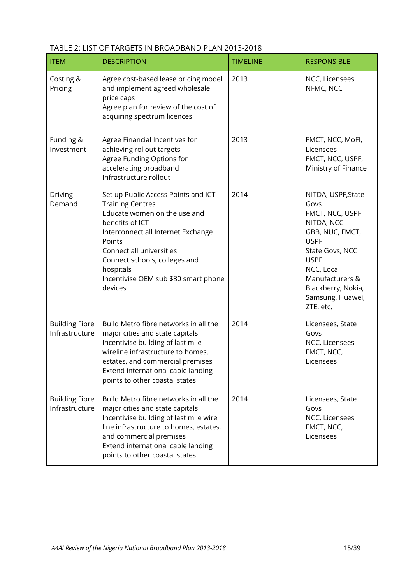| <b>ITEM</b>                             | <b>DESCRIPTION</b>                                                                                                                                                                                                                                                                             | <b>TIMELINE</b> | <b>RESPONSIBLE</b>                                                                                                                                                                                                      |
|-----------------------------------------|------------------------------------------------------------------------------------------------------------------------------------------------------------------------------------------------------------------------------------------------------------------------------------------------|-----------------|-------------------------------------------------------------------------------------------------------------------------------------------------------------------------------------------------------------------------|
| Costing &<br>Pricing                    | Agree cost-based lease pricing model<br>and implement agreed wholesale<br>price caps<br>Agree plan for review of the cost of<br>acquiring spectrum licences                                                                                                                                    | 2013            | NCC, Licensees<br>NFMC, NCC                                                                                                                                                                                             |
| Funding &<br>Investment                 | Agree Financial Incentives for<br>achieving rollout targets<br>Agree Funding Options for<br>accelerating broadband<br>Infrastructure rollout                                                                                                                                                   | 2013            | FMCT, NCC, MoFI,<br>Licensees<br>FMCT, NCC, USPF,<br>Ministry of Finance                                                                                                                                                |
| Driving<br>Demand                       | Set up Public Access Points and ICT<br><b>Training Centres</b><br>Educate women on the use and<br>benefits of ICT<br>Interconnect all Internet Exchange<br>Points<br>Connect all universities<br>Connect schools, colleges and<br>hospitals<br>Incentivise OEM sub \$30 smart phone<br>devices | 2014            | NITDA, USPF, State<br>Govs<br>FMCT, NCC, USPF<br>NITDA, NCC<br>GBB, NUC, FMCT,<br><b>USPF</b><br>State Govs, NCC<br><b>USPF</b><br>NCC, Local<br>Manufacturers &<br>Blackberry, Nokia,<br>Samsung, Huawei,<br>ZTE, etc. |
| <b>Building Fibre</b><br>Infrastructure | Build Metro fibre networks in all the<br>major cities and state capitals<br>Incentivise building of last mile<br>wireline infrastructure to homes,<br>estates, and commercial premises<br>Extend international cable landing<br>points to other coastal states                                 | 2014            | Licensees, State<br>Govs<br>NCC, Licensees<br>FMCT, NCC,<br>Licensees                                                                                                                                                   |
| <b>Building Fibre</b><br>Infrastructure | Build Metro fibre networks in all the<br>major cities and state capitals<br>Incentivise building of last mile wire<br>line infrastructure to homes, estates,<br>and commercial premises<br>Extend international cable landing<br>points to other coastal states                                | 2014            | Licensees, State<br>Govs<br>NCC, Licensees<br>FMCT, NCC,<br>Licensees                                                                                                                                                   |

#### TABLE 2: LIST OF TARGETS IN BROADBAND PLAN 2013-2018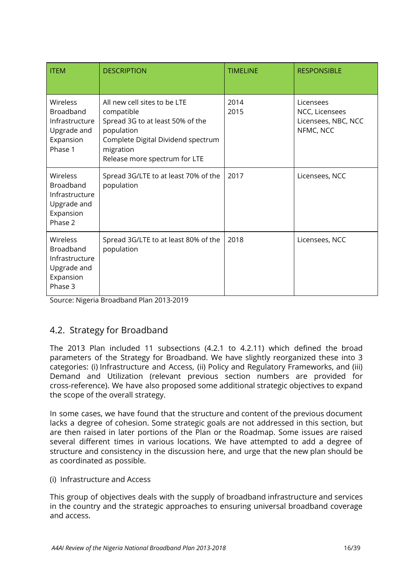| <b>ITEM</b>                                                                           | <b>DESCRIPTION</b>                                                                                                                                                               | <b>TIMELINE</b> | <b>RESPONSIBLE</b>                                              |
|---------------------------------------------------------------------------------------|----------------------------------------------------------------------------------------------------------------------------------------------------------------------------------|-----------------|-----------------------------------------------------------------|
| Wireless<br><b>Broadband</b><br>Infrastructure<br>Upgrade and<br>Expansion<br>Phase 1 | All new cell sites to be LTE<br>compatible<br>Spread 3G to at least 50% of the<br>population<br>Complete Digital Dividend spectrum<br>migration<br>Release more spectrum for LTE | 2014<br>2015    | Licensees<br>NCC, Licensees<br>Licensees, NBC, NCC<br>NFMC, NCC |
| Wireless<br>Broadband<br>Infrastructure<br>Upgrade and<br>Expansion<br>Phase 2        | Spread 3G/LTE to at least 70% of the<br>population                                                                                                                               | 2017            | Licensees, NCC                                                  |
| Wireless<br>Broadband<br>Infrastructure<br>Upgrade and<br>Expansion<br>Phase 3        | Spread 3G/LTE to at least 80% of the<br>population                                                                                                                               | 2018            | Licensees, NCC                                                  |

Source: Nigeria Broadband Plan 2013-2019

## <span id="page-16-0"></span>4.2. Strategy for Broadband

The 2013 Plan included 11 subsections (4.2.1 to 4.2.11) which defined the broad parameters of the Strategy for Broadband. We have slightly reorganized these into 3 categories: (i) Infrastructure and Access, (ii) Policy and Regulatory Frameworks, and (iii) Demand and Utilization (relevant previous section numbers are provided for cross-reference). We have also proposed some additional strategic objectives to expand the scope of the overall strategy.

In some cases, we have found that the structure and content of the previous document lacks a degree of cohesion. Some strategic goals are not addressed in this section, but are then raised in later portions of the Plan or the Roadmap. Some issues are raised several different times in various locations. We have attempted to add a degree of structure and consistency in the discussion here, and urge that the new plan should be as coordinated as possible.

<span id="page-16-1"></span>(i) Infrastructure and Access

This group of objectives deals with the supply of broadband infrastructure and services in the country and the strategic approaches to ensuring universal broadband coverage and access.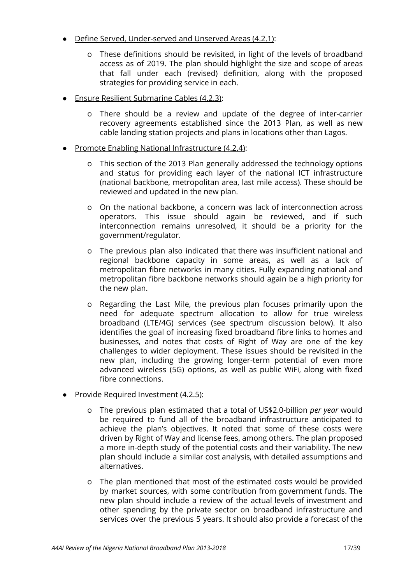- Define Served, Under-served and Unserved Areas (4.2.1):
	- o These definitions should be revisited, in light of the levels of broadband access as of 2019. The plan should highlight the size and scope of areas that fall under each (revised) definition, along with the proposed strategies for providing service in each.
- Ensure Resilient Submarine Cables (4.2.3):
	- o There should be a review and update of the degree of inter-carrier recovery agreements established since the 2013 Plan, as well as new cable landing station projects and plans in locations other than Lagos.
- Promote Enabling National Infrastructure (4.2.4):
	- o This section of the 2013 Plan generally addressed the technology options and status for providing each layer of the national ICT infrastructure (national backbone, metropolitan area, last mile access). These should be reviewed and updated in the new plan.
	- o On the national backbone, a concern was lack of interconnection across operators. This issue should again be reviewed, and if such interconnection remains unresolved, it should be a priority for the government/regulator.
	- o The previous plan also indicated that there was insufficient national and regional backbone capacity in some areas, as well as a lack of metropolitan fibre networks in many cities. Fully expanding national and metropolitan fibre backbone networks should again be a high priority for the new plan.
	- o Regarding the Last Mile, the previous plan focuses primarily upon the need for adequate spectrum allocation to allow for true wireless broadband (LTE/4G) services (see spectrum discussion below). It also identifies the goal of increasing fixed broadband fibre links to homes and businesses, and notes that costs of Right of Way are one of the key challenges to wider deployment. These issues should be revisited in the new plan, including the growing longer-term potential of even more advanced wireless (5G) options, as well as public WiFi, along with fixed fibre connections.
- Provide Required Investment (4.2.5):
	- o The previous plan estimated that a total of US\$2.0-billion *per year* would be required to fund all of the broadband infrastructure anticipated to achieve the plan's objectives. It noted that some of these costs were driven by Right of Way and license fees, among others. The plan proposed a more in-depth study of the potential costs and their variability. The new plan should include a similar cost analysis, with detailed assumptions and alternatives.
	- o The plan mentioned that most of the estimated costs would be provided by market sources, with some contribution from government funds. The new plan should include a review of the actual levels of investment and other spending by the private sector on broadband infrastructure and services over the previous 5 years. It should also provide a forecast of the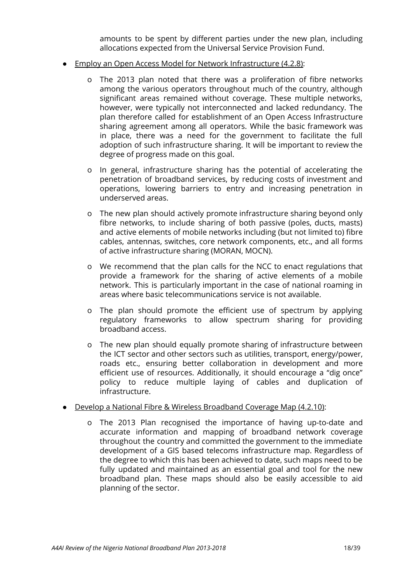amounts to be spent by different parties under the new plan, including allocations expected from the Universal Service Provision Fund.

- Employ an Open Access Model for Network Infrastructure (4.2.8):
	- o The 2013 plan noted that there was a proliferation of fibre networks among the various operators throughout much of the country, although significant areas remained without coverage. These multiple networks, however, were typically not interconnected and lacked redundancy. The plan therefore called for establishment of an Open Access Infrastructure sharing agreement among all operators. While the basic framework was in place, there was a need for the government to facilitate the full adoption of such infrastructure sharing. It will be important to review the degree of progress made on this goal.
	- o In general, infrastructure sharing has the potential of accelerating the penetration of broadband services, by reducing costs of investment and operations, lowering barriers to entry and increasing penetration in underserved areas.
	- o The new plan should actively promote infrastructure sharing beyond only fibre networks, to include sharing of both passive (poles, ducts, masts) and active elements of mobile networks including (but not limited to) fibre cables, antennas, switches, core network components, etc., and all forms of active infrastructure sharing (MORAN, MOCN).
	- o We recommend that the plan calls for the NCC to enact regulations that provide a framework for the sharing of active elements of a mobile network. This is particularly important in the case of national roaming in areas where basic telecommunications service is not available.
	- o The plan should promote the efficient use of spectrum by applying regulatory frameworks to allow spectrum sharing for providing broadband access.
	- o The new plan should equally promote sharing of infrastructure between the ICT sector and other sectors such as utilities, transport, energy/power, roads etc., ensuring better collaboration in development and more efficient use of resources. Additionally, it should encourage a "dig once" policy to reduce multiple laying of cables and duplication of infrastructure.
- Develop a National Fibre & Wireless Broadband Coverage Map (4.2.10):
	- o The 2013 Plan recognised the importance of having up-to-date and accurate information and mapping of broadband network coverage throughout the country and committed the government to the immediate development of a GIS based telecoms infrastructure map. Regardless of the degree to which this has been achieved to date, such maps need to be fully updated and maintained as an essential goal and tool for the new broadband plan. These maps should also be easily accessible to aid planning of the sector.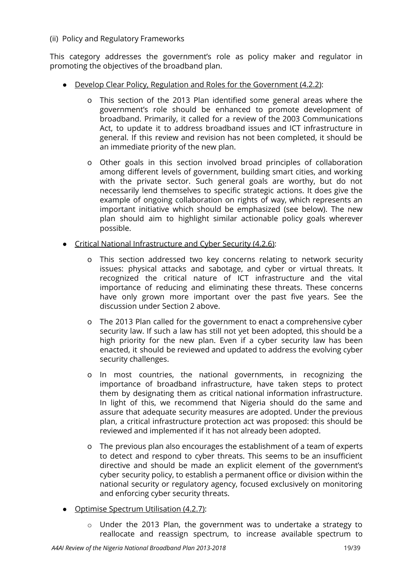#### <span id="page-19-0"></span>(ii) Policy and Regulatory Frameworks

This category addresses the government's role as policy maker and regulator in promoting the objectives of the broadband plan.

- Develop Clear Policy, Regulation and Roles for the Government (4.2.2):
	- o This section of the 2013 Plan identified some general areas where the government's role should be enhanced to promote development of broadband. Primarily, it called for a review of the 2003 Communications Act, to update it to address broadband issues and ICT infrastructure in general. If this review and revision has not been completed, it should be an immediate priority of the new plan.
	- o Other goals in this section involved broad principles of collaboration among different levels of government, building smart cities, and working with the private sector. Such general goals are worthy, but do not necessarily lend themselves to specific strategic actions. It does give the example of ongoing collaboration on rights of way, which represents an important initiative which should be emphasized (see below). The new plan should aim to highlight similar actionable policy goals wherever possible.
- Critical National Infrastructure and Cyber Security (4.2.6):
	- o This section addressed two key concerns relating to network security issues: physical attacks and sabotage, and cyber or virtual threats. It recognized the critical nature of ICT infrastructure and the vital importance of reducing and eliminating these threats. These concerns have only grown more important over the past five years. See the discussion under Section 2 above.
	- o The 2013 Plan called for the government to enact a comprehensive cyber security law. If such a law has still not yet been adopted, this should be a high priority for the new plan. Even if a cyber security law has been enacted, it should be reviewed and updated to address the evolving cyber security challenges.
	- o In most countries, the national governments, in recognizing the importance of broadband infrastructure, have taken steps to protect them by designating them as critical national information infrastructure. In light of this, we recommend that Nigeria should do the same and assure that adequate security measures are adopted. Under the previous plan, a critical infrastructure protection act was proposed: this should be reviewed and implemented if it has not already been adopted.
	- o The previous plan also encourages the establishment of a team of experts to detect and respond to cyber threats. This seems to be an insufficient directive and should be made an explicit element of the government's cyber security policy, to establish a permanent office or division within the national security or regulatory agency, focused exclusively on monitoring and enforcing cyber security threats.
- Optimise Spectrum Utilisation (4.2.7):
	- o Under the 2013 Plan, the government was to undertake a strategy to reallocate and reassign spectrum, to increase available spectrum to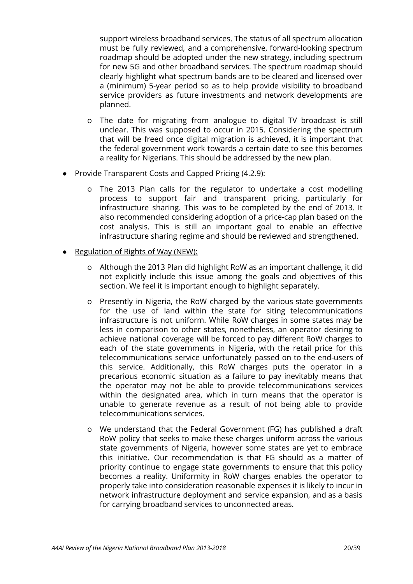support wireless broadband services. The status of all spectrum allocation must be fully reviewed, and a comprehensive, forward-looking spectrum roadmap should be adopted under the new strategy, including spectrum for new 5G and other broadband services. The spectrum roadmap should clearly highlight what spectrum bands are to be cleared and licensed over a (minimum) 5-year period so as to help provide visibility to broadband service providers as future investments and network developments are planned.

- o The date for migrating from analogue to digital TV broadcast is still unclear. This was supposed to occur in 2015. Considering the spectrum that will be freed once digital migration is achieved, it is important that the federal government work towards a certain date to see this becomes a reality for Nigerians. This should be addressed by the new plan.
- Provide Transparent Costs and Capped Pricing (4.2.9):
	- o The 2013 Plan calls for the regulator to undertake a cost modelling process to support fair and transparent pricing, particularly for infrastructure sharing. This was to be completed by the end of 2013. It also recommended considering adoption of a price-cap plan based on the cost analysis. This is still an important goal to enable an effective infrastructure sharing regime and should be reviewed and strengthened.
- Regulation of Rights of Way (NEW):
	- o Although the 2013 Plan did highlight RoW as an important challenge, it did not explicitly include this issue among the goals and objectives of this section. We feel it is important enough to highlight separately.
	- o Presently in Nigeria, the RoW charged by the various state governments for the use of land within the state for siting telecommunications infrastructure is not uniform. While RoW charges in some states may be less in comparison to other states, nonetheless, an operator desiring to achieve national coverage will be forced to pay different RoW charges to each of the state governments in Nigeria, with the retail price for this telecommunications service unfortunately passed on to the end-users of this service. Additionally, this RoW charges puts the operator in a precarious economic situation as a failure to pay inevitably means that the operator may not be able to provide telecommunications services within the designated area, which in turn means that the operator is unable to generate revenue as a result of not being able to provide telecommunications services.
	- o We understand that the Federal Government (FG) has published a draft RoW policy that seeks to make these charges uniform across the various state governments of Nigeria, however some states are yet to embrace this initiative. Our recommendation is that FG should as a matter of priority continue to engage state governments to ensure that this policy becomes a reality. Uniformity in RoW charges enables the operator to properly take into consideration reasonable expenses it is likely to incur in network infrastructure deployment and service expansion, and as a basis for carrying broadband services to unconnected areas.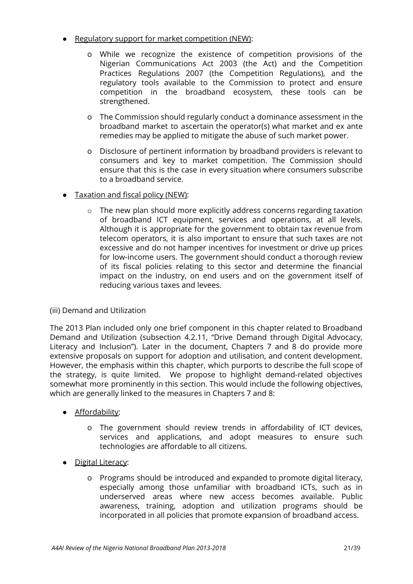- Regulatory support for market competition (NEW):
	- o While we recognize the existence of competition provisions of the Nigerian Communications Act 2003 (the Act) and the Competition Practices Regulations 2007 (the Competition Regulations), and the regulatory tools available to the Commission to protect and ensure competition in the broadband ecosystem, these tools can be strengthened.
	- o The Commission should regularly conduct a dominance assessment in the broadband market to ascertain the operator(s) what market and ex ante remedies may be applied to mitigate the abuse of such market power.
	- o Disclosure of pertinent information by broadband providers is relevant to consumers and key to market competition. The Commission should ensure that this is the case in every situation where consumers subscribe to a broadband service.
- Taxation and fiscal policy (NEW):
	- o The new plan should more explicitly address concerns regarding taxation of broadband ICT equipment, services and operations, at all levels. Although it is appropriate for the government to obtain tax revenue from telecom operators, it is also important to ensure that such taxes are not excessive and do not hamper incentives for investment or drive up prices for low-income users. The government should conduct a thorough review of its fiscal policies relating to this sector and determine the financial impact on the industry, on end users and on the government itself of reducing various taxes and levees.

### <span id="page-21-0"></span>(iii) Demand and Utilization

The 2013 Plan included only one brief component in this chapter related to Broadband Demand and Utilization (subsection 4.2.11, "Drive Demand through Digital Advocacy, Literacy and Inclusion"). Later in the document, Chapters 7 and 8 do provide more extensive proposals on support for adoption and utilisation, and content development. However, the emphasis within this chapter, which purports to describe the full scope of the strategy, is quite limited. We propose to highlight demand-related objectives somewhat more prominently in this section. This would include the following objectives, which are generally linked to the measures in Chapters 7 and 8:

- Affordability:
	- o The government should review trends in affordability of ICT devices, services and applications, and adopt measures to ensure such technologies are affordable to all citizens.
- **Digital Literacy:** 
	- o Programs should be introduced and expanded to promote digital literacy, especially among those unfamiliar with broadband ICTs, such as in underserved areas where new access becomes available. Public awareness, training, adoption and utilization programs should be incorporated in all policies that promote expansion of broadband access.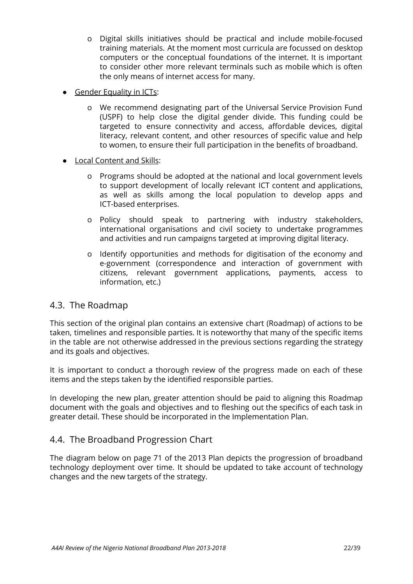- o Digital skills initiatives should be practical and include mobile-focused training materials. At the moment most curricula are focussed on desktop computers or the conceptual foundations of the internet. It is important to consider other more relevant terminals such as mobile which is often the only means of internet access for many.
- Gender Equality in ICTs:
	- o We recommend designating part of the Universal Service Provision Fund (USPF) to help close the digital gender divide. This funding could be targeted to ensure connectivity and access, affordable devices, digital literacy, relevant content, and other resources of specific value and help to women, to ensure their full participation in the benefits of broadband.
- **Local Content and Skills:** 
	- o Programs should be adopted at the national and local government levels to support development of locally relevant ICT content and applications, as well as skills among the local population to develop apps and ICT-based enterprises.
	- o Policy should speak to partnering with industry stakeholders, international organisations and civil society to undertake programmes and activities and run campaigns targeted at improving digital literacy.
	- o Identify opportunities and methods for digitisation of the economy and e-government (correspondence and interaction of government with citizens, relevant government applications, payments, access to information, etc.)

### <span id="page-22-0"></span>4.3. The Roadmap

This section of the original plan contains an extensive chart (Roadmap) of actions to be taken, timelines and responsible parties. It is noteworthy that many of the specific items in the table are not otherwise addressed in the previous sections regarding the strategy and its goals and objectives.

It is important to conduct a thorough review of the progress made on each of these items and the steps taken by the identified responsible parties.

In developing the new plan, greater attention should be paid to aligning this Roadmap document with the goals and objectives and to fleshing out the specifics of each task in greater detail. These should be incorporated in the Implementation Plan.

### <span id="page-22-1"></span>4.4. The Broadband Progression Chart

The diagram below on page 71 of the 2013 Plan depicts the progression of broadband technology deployment over time. It should be updated to take account of technology changes and the new targets of the strategy.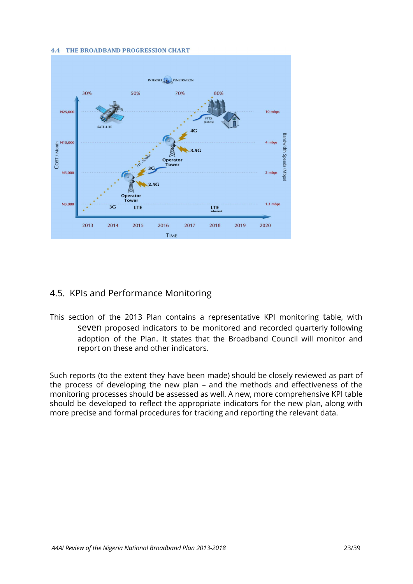#### **4.4 THE BROADBAND PROGRESSION CHART**



## <span id="page-23-0"></span>4.5. KPIs and Performance Monitoring

This section of the 2013 Plan contains a representative KPI monitoring table, with seven proposed indicators to be monitored and recorded quarterly following adoption of the Plan. It states that the Broadband Council will monitor and report on these and other indicators.

Such reports (to the extent they have been made) should be closely reviewed as part of the process of developing the new plan – and the methods and effectiveness of the monitoring processes should be assessed as well. A new, more comprehensive KPI table should be developed to reflect the appropriate indicators for the new plan, along with more precise and formal procedures for tracking and reporting the relevant data.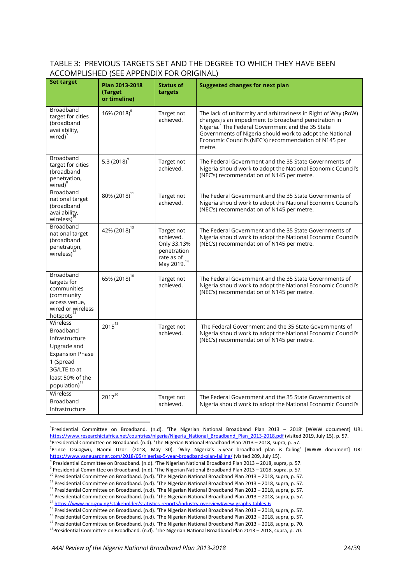#### TABLE 3: PREVIOUS TARGETS SET AND THE DEGREE TO WHICH THEY HAVE BEEN ACCOMPLISHED (SEE APPENDIX FOR ORIGINAL)

| <b>Set target</b>                                                                                                                                              | Plan 2013-2018<br>(Target<br>or timeline) | <b>Status of</b><br>targets                                                                    | <b>Suggested changes for next plan</b>                                                                                                                                                                                                                                                                                 |
|----------------------------------------------------------------------------------------------------------------------------------------------------------------|-------------------------------------------|------------------------------------------------------------------------------------------------|------------------------------------------------------------------------------------------------------------------------------------------------------------------------------------------------------------------------------------------------------------------------------------------------------------------------|
| Broadband<br>target for cities<br>(broadband<br>availability,<br>wired) <sup>5</sup>                                                                           | 16% (2018) <sup>6</sup>                   | Target not<br>achieved.                                                                        | The lack of uniformity and arbitrariness in Right of Way (RoW)<br>charges is an impediment to broadband penetration in<br>Nigeria. <sup>7</sup> The Federal Government and the 35 State<br>Governments of Nigeria should work to adopt the National<br>Economic Council's (NEC's) recommendation of N145 per<br>metre. |
| Broadband<br>target for cities<br>(broadband<br>penetration,<br>wired) <sup>8</sup>                                                                            | 5.3 $(2018)^9$                            | Target not<br>achieved.                                                                        | The Federal Government and the 35 State Governments of<br>Nigeria should work to adopt the National Economic Council's<br>(NEC's) recommendation of N145 per metre.                                                                                                                                                    |
| Broadband<br>national target<br>(broadband<br>availability,<br>wireless)                                                                                       | 80% (2018) <sup>11</sup>                  | Target not<br>achieved.                                                                        | The Federal Government and the 35 State Governments of<br>Nigeria should work to adopt the National Economic Council's<br>(NEC's) recommendation of N145 per metre.                                                                                                                                                    |
| Broadband<br>national target<br>(broadband<br>penetration,<br>wireless) <sup>1</sup>                                                                           | 42% (2018) <sup>13</sup>                  | Target not<br>achieved.<br>Only 33.13%<br>penetration<br>rate as of<br>May 2019. <sup>14</sup> | The Federal Government and the 35 State Governments of<br>Nigeria should work to adopt the National Economic Council's<br>(NEC's) recommendation of N145 per metre.                                                                                                                                                    |
| Broadband<br>targets for<br>communities<br>(community<br>access venue,<br>wired or wireless<br>hotspots <sup>15</sup>                                          | 65% (2018) <sup>16</sup>                  | Target not<br>achieved.                                                                        | The Federal Government and the 35 State Governments of<br>Nigeria should work to adopt the National Economic Council's<br>(NEC's) recommendation of N145 per metre.                                                                                                                                                    |
| Wireless<br>Broadband<br>Infrastructure<br>Upgrade and<br><b>Expansion Phase</b><br>1 (Spread<br>3G/LTE to at<br>least 50% of the<br>population) <sup>17</sup> | $2015^{18}$                               | Target not<br>achieved.                                                                        | The Federal Government and the 35 State Governments of<br>Nigeria should work to adopt the National Economic Council's<br>(NEC's) recommendation of N145 per metre.                                                                                                                                                    |
| Wireless<br>Broadband<br>Infrastructure                                                                                                                        | $2017^{20}$                               | Target not<br>achieved.                                                                        | The Federal Government and the 35 State Governments of<br>Nigeria should work to adopt the National Economic Council's                                                                                                                                                                                                 |

<sup>5</sup>Presidential Committee on Broadband. (n.d). 'The Nigerian National Broadband Plan 2013 – 2018' [WWW document] URL [https://www.researchictafrica.net/countries/nigeria/Nigeria\\_National\\_Broadband\\_Plan\\_2013-2018.pdf](https://www.researchictafrica.net/countries/nigeria/Nigeria_National_Broadband_Plan_2013-2018.pdf) (visited 2019, July 15), p. 57. <sup>6</sup>Presidential Committee on Broadband. (n.d). 'The Nigerian National Broadband Plan 2013 – 2018, supra, p. 57.

<sup>7</sup>Prince Osuagwu, Naomi Uzor. (2018, May 30). 'Why Nigeria's 5-year broadband plan is failing' [WWW document] URL <https://www.vanguardngr.com/2018/05/nigerias-5-year-broadband-plan-failing/> (visited 209, July 15).

<sup>8</sup> Presidential Committee on Broadband. (n.d). 'The Nigerian National Broadband Plan 2013 – 2018, supra, p. 57.

<sup>11</sup> Presidential Committee on Broadband. (n.d). 'The Nigerian National Broadband Plan 2013 – 2018, supra, p. 57.

<sup>9</sup> Presidential Committee on Broadband. (n.d). 'The Nigerian National Broadband Plan 2013 – 2018, supra, p. 57.

<sup>&</sup>lt;sup>10</sup> Presidential Committee on Broadband. (n.d). 'The Nigerian National Broadband Plan 2013 – 2018, supra, p. 57.

<sup>&</sup>lt;sup>12</sup> Presidential Committee on Broadband. (n.d). 'The Nigerian National Broadband Plan 2013 – 2018, supra, p. 57.

<sup>13</sup> Presidential Committee on Broadband. (n.d). 'The Nigerian National Broadband Plan 2013 – 2018, supra, p. 57.

<sup>14</sup> <https://www.ncc.gov.ng/stakeholder/statistics-reports/industry-overview#view-graphs-tables-6>

<sup>&</sup>lt;sup>15</sup> Presidential Committee on Broadband. (n.d). 'The Nigerian National Broadband Plan 2013 – 2018, supra, p. 57.

<sup>&</sup>lt;sup>16</sup> Presidential Committee on Broadband. (n.d). 'The Nigerian National Broadband Plan 2013 – 2018, supra, p. 57.

<sup>17</sup> Presidential Committee on Broadband. (n.d). 'The Nigerian National Broadband Plan 2013 – 2018, supra, p. 70. <sup>18</sup>Presidential Committee on Broadband. (n.d). 'The Nigerian National Broadband Plan 2013 – 2018, supra, p. 70.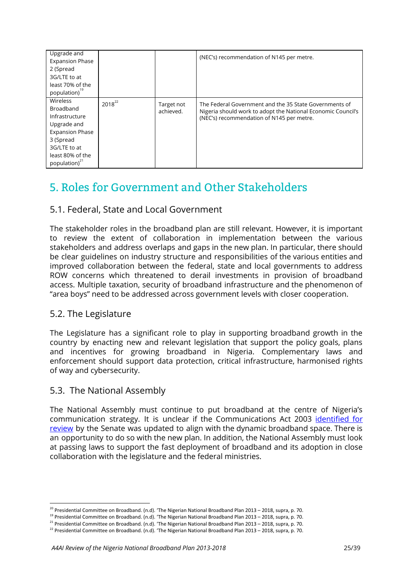| Upgrade and               |             |            | (NEC's) recommendation of N145 per metre.                    |
|---------------------------|-------------|------------|--------------------------------------------------------------|
| <b>Expansion Phase</b>    |             |            |                                                              |
| 2 (Spread                 |             |            |                                                              |
| 3G/LTE to at              |             |            |                                                              |
| least 70% of the          |             |            |                                                              |
| population) <sup>19</sup> |             |            |                                                              |
| Wireless                  | $2018^{22}$ | Target not | The Federal Government and the 35 State Governments of       |
| Broadband                 |             | achieved.  | Nigeria should work to adopt the National Economic Council's |
| Infrastructure            |             |            | (NEC's) recommendation of N145 per metre.                    |
| Upgrade and               |             |            |                                                              |
| <b>Expansion Phase</b>    |             |            |                                                              |
| 3 (Spread                 |             |            |                                                              |
| 3G/LTE to at              |             |            |                                                              |
| least 80% of the          |             |            |                                                              |
| population) $21$          |             |            |                                                              |

## <span id="page-25-0"></span>5. Roles for Government and Other Stakeholders

## <span id="page-25-1"></span>5.1. Federal, State and Local Government

The stakeholder roles in the broadband plan are still relevant. However, it is important to review the extent of collaboration in implementation between the various stakeholders and address overlaps and gaps in the new plan. In particular, there should be clear guidelines on industry structure and responsibilities of the various entities and improved collaboration between the federal, state and local governments to address ROW concerns which threatened to derail investments in provision of broadband access. Multiple taxation, security of broadband infrastructure and the phenomenon of "area boys" need to be addressed across government levels with closer cooperation.

### <span id="page-25-2"></span>5.2. The Legislature

The Legislature has a significant role to play in supporting broadband growth in the country by enacting new and relevant legislation that support the policy goals, plans and incentives for growing broadband in Nigeria. Complementary laws and enforcement should support data protection, critical infrastructure, harmonised rights of way and cybersecurity.

### <span id="page-25-3"></span>5.3. The National Assembly

The National Assembly must continue to put broadband at the centre of Nigeria's communication strategy. It is unclear if the Communications Act 2003 [identified](https://www.vanguardngr.com/2017/11/senate-calls-review-nigeria-communications-act-2003/) for [review](https://www.vanguardngr.com/2017/11/senate-calls-review-nigeria-communications-act-2003/) by the Senate was updated to align with the dynamic broadband space. There is an opportunity to do so with the new plan. In addition, the National Assembly must look at passing laws to support the fast deployment of broadband and its adoption in close collaboration with the legislature and the federal ministries.

 $^{20}$  Presidential Committee on Broadband. (n.d). 'The Nigerian National Broadband Plan 2013 – 2018, supra, p. 70.

<sup>&</sup>lt;sup>19</sup> Presidential Committee on Broadband. (n.d). 'The Nigerian National Broadband Plan 2013 – 2018, supra, p. 70.

<sup>&</sup>lt;sup>21</sup> Presidential Committee on Broadband. (n.d). 'The Nigerian National Broadband Plan 2013 – 2018, supra, p. 70.

 $22$  Presidential Committee on Broadband. (n.d). 'The Nigerian National Broadband Plan 2013 – 2018, supra, p. 70.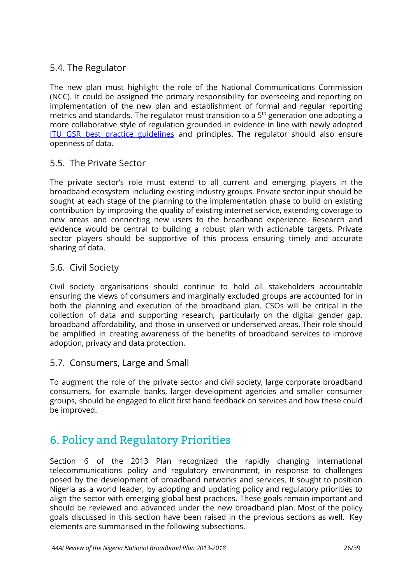## <span id="page-26-0"></span>5.4. The Regulator

The new plan must highlight the role of the National Communications Commission (NCC). It could be assigned the primary responsibility for overseeing and reporting on implementation of the new plan and establishment of formal and regular reporting metrics and standards. The regulator must transition to a  $5<sup>th</sup>$  generation one adopting a more collaborative style of regulation grounded in evidence in line with newly adopted ITU GSR best practice [guidelines](https://www.itu.int/en/ITU-D/Conferences/GSR/2019/Documents/GSR19_BPG_V2_E.pdf) and principles. The regulator should also ensure openness of data.

## <span id="page-26-1"></span>5.5. The Private Sector

The private sector's role must extend to all current and emerging players in the broadband ecosystem including existing industry groups. Private sector input should be sought at each stage of the planning to the implementation phase to build on existing contribution by improving the quality of existing internet service, extending coverage to new areas and connecting new users to the broadband experience. Research and evidence would be central to building a robust plan with actionable targets. Private sector players should be supportive of this process ensuring timely and accurate sharing of data.

### <span id="page-26-2"></span>5.6. Civil Society

Civil society organisations should continue to hold all stakeholders accountable ensuring the views of consumers and marginally excluded groups are accounted for in both the planning and execution of the broadband plan. CSOs will be critical in the collection of data and supporting research, particularly on the digital gender gap, broadband affordability, and those in unserved or underserved areas. Their role should be amplified in creating awareness of the benefits of broadband services to improve adoption, privacy and data protection.

### <span id="page-26-3"></span>5.7. Consumers, Large and Small

To augment the role of the private sector and civil society, large corporate broadband consumers, for example banks, larger development agencies and smaller consumer groups, should be engaged to elicit first hand feedback on services and how these could be improved.

## <span id="page-26-4"></span>6. Policy and Regulatory Priorities

Section 6 of the 2013 Plan recognized the rapidly changing international telecommunications policy and regulatory environment, in response to challenges posed by the development of broadband networks and services. It sought to position Nigeria as a world leader, by adopting and updating policy and regulatory priorities to align the sector with emerging global best practices. These goals remain important and should be reviewed and advanced under the new broadband plan. Most of the policy goals discussed in this section have been raised in the previous sections as well. Key elements are summarised in the following subsections.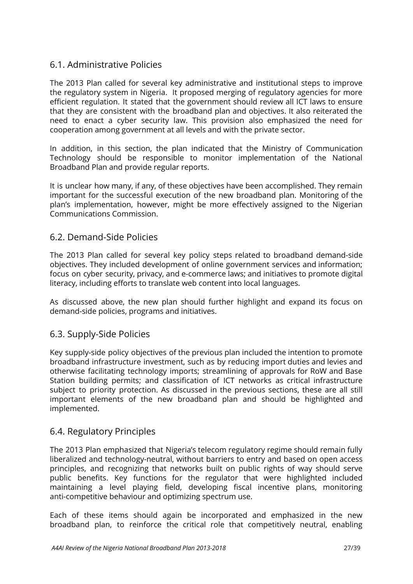## <span id="page-27-0"></span>6.1. Administrative Policies

The 2013 Plan called for several key administrative and institutional steps to improve the regulatory system in Nigeria. It proposed merging of regulatory agencies for more efficient regulation. It stated that the government should review all ICT laws to ensure that they are consistent with the broadband plan and objectives. It also reiterated the need to enact a cyber security law. This provision also emphasized the need for cooperation among government at all levels and with the private sector.

In addition, in this section, the plan indicated that the Ministry of Communication Technology should be responsible to monitor implementation of the National Broadband Plan and provide regular reports.

It is unclear how many, if any, of these objectives have been accomplished. They remain important for the successful execution of the new broadband plan. Monitoring of the plan's implementation, however, might be more effectively assigned to the Nigerian Communications Commission.

### <span id="page-27-1"></span>6.2. Demand-Side Policies

The 2013 Plan called for several key policy steps related to broadband demand-side objectives. They included development of online government services and information; focus on cyber security, privacy, and e-commerce laws; and initiatives to promote digital literacy, including efforts to translate web content into local languages.

As discussed above, the new plan should further highlight and expand its focus on demand-side policies, programs and initiatives.

### <span id="page-27-2"></span>6.3. Supply-Side Policies

Key supply-side policy objectives of the previous plan included the intention to promote broadband infrastructure investment, such as by reducing import duties and levies and otherwise facilitating technology imports; streamlining of approvals for RoW and Base Station building permits; and classification of ICT networks as critical infrastructure subject to priority protection. As discussed in the previous sections, these are all still important elements of the new broadband plan and should be highlighted and implemented.

### <span id="page-27-3"></span>6.4. Regulatory Principles

The 2013 Plan emphasized that Nigeria's telecom regulatory regime should remain fully liberalized and technology-neutral, without barriers to entry and based on open access principles, and recognizing that networks built on public rights of way should serve public benefits. Key functions for the regulator that were highlighted included maintaining a level playing field, developing fiscal incentive plans, monitoring anti-competitive behaviour and optimizing spectrum use.

Each of these items should again be incorporated and emphasized in the new broadband plan, to reinforce the critical role that competitively neutral, enabling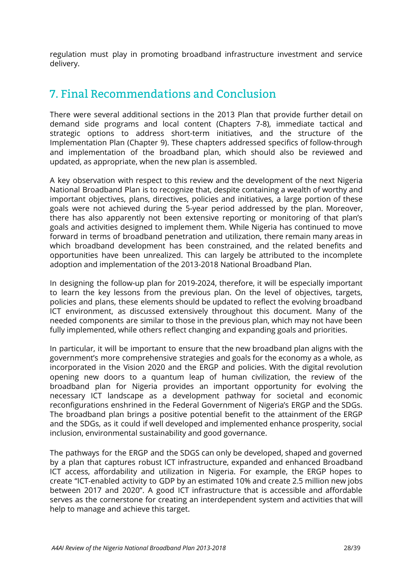regulation must play in promoting broadband infrastructure investment and service delivery.

## <span id="page-28-0"></span>7. Final Recommendations and Conclusion

There were several additional sections in the 2013 Plan that provide further detail on demand side programs and local content (Chapters 7-8), immediate tactical and strategic options to address short-term initiatives, and the structure of the Implementation Plan (Chapter 9). These chapters addressed specifics of follow-through and implementation of the broadband plan, which should also be reviewed and updated, as appropriate, when the new plan is assembled.

A key observation with respect to this review and the development of the next Nigeria National Broadband Plan is to recognize that, despite containing a wealth of worthy and important objectives, plans, directives, policies and initiatives, a large portion of these goals were not achieved during the 5-year period addressed by the plan. Moreover, there has also apparently not been extensive reporting or monitoring of that plan's goals and activities designed to implement them. While Nigeria has continued to move forward in terms of broadband penetration and utilization, there remain many areas in which broadband development has been constrained, and the related benefits and opportunities have been unrealized. This can largely be attributed to the incomplete adoption and implementation of the 2013-2018 National Broadband Plan.

In designing the follow-up plan for 2019-2024, therefore, it will be especially important to learn the key lessons from the previous plan. On the level of objectives, targets, policies and plans, these elements should be updated to reflect the evolving broadband ICT environment, as discussed extensively throughout this document. Many of the needed components are similar to those in the previous plan, which may not have been fully implemented, while others reflect changing and expanding goals and priorities.

In particular, it will be important to ensure that the new broadband plan aligns with the government's more comprehensive strategies and goals for the economy as a whole, as incorporated in the Vision 2020 and the ERGP and policies. With the digital revolution opening new doors to a quantum leap of human civilization, the review of the broadband plan for Nigeria provides an important opportunity for evolving the necessary ICT landscape as a development pathway for societal and economic reconfigurations enshrined in the Federal Government of Nigeria's ERGP and the SDGs. The broadband plan brings a positive potential benefit to the attainment of the ERGP and the SDGs, as it could if well developed and implemented enhance prosperity, social inclusion, environmental sustainability and good governance.

The pathways for the ERGP and the SDGS can only be developed, shaped and governed by a plan that captures robust ICT infrastructure, expanded and enhanced Broadband ICT access, affordability and utilization in Nigeria. For example, the ERGP hopes to create "ICT-enabled activity to GDP by an estimated 10% and create 2.5 million new jobs between 2017 and 2020". A good ICT infrastructure that is accessible and affordable serves as the cornerstone for creating an interdependent system and activities that will help to manage and achieve this target.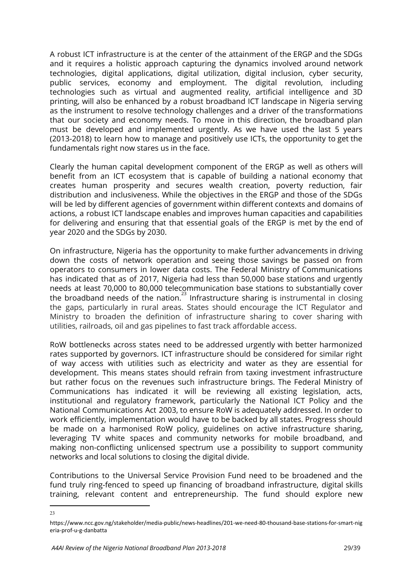A robust ICT infrastructure is at the center of the attainment of the ERGP and the SDGs and it requires a holistic approach capturing the dynamics involved around network technologies, digital applications, digital utilization, digital inclusion, cyber security, public services, economy and employment. The digital revolution, including technologies such as virtual and augmented reality, artificial intelligence and 3D printing, will also be enhanced by a robust broadband ICT landscape in Nigeria serving as the instrument to resolve technology challenges and a driver of the transformations that our society and economy needs. To move in this direction, the broadband plan must be developed and implemented urgently. As we have used the last 5 years (2013-2018) to learn how to manage and positively use ICTs, the opportunity to get the fundamentals right now stares us in the face.

Clearly the human capital development component of the ERGP as well as others will benefit from an ICT ecosystem that is capable of building a national economy that creates human prosperity and secures wealth creation, poverty reduction, fair distribution and inclusiveness. While the objectives in the ERGP and those of the SDGs will be led by different agencies of government within different contexts and domains of actions, a robust ICT landscape enables and improves human capacities and capabilities for delivering and ensuring that that essential goals of the ERGP is met by the end of year 2020 and the SDGs by 2030.

On infrastructure, Nigeria has the opportunity to make further advancements in driving down the costs of network operation and seeing those savings be passed on from operators to consumers in lower data costs. The Federal Ministry of Communications has indicated that as of 2017, Nigeria had less than 50,000 base stations and urgently needs at least 70,000 to 80,000 telecommunication base stations to substantially cover the broadband needs of the nation. $^{23}$  Infrastructure sharing is instrumental in closing the gaps, particularly in rural areas. States should encourage the ICT Regulator and Ministry to broaden the definition of infrastructure sharing to cover sharing with utilities, railroads, oil and gas pipelines to fast track affordable access.

RoW bottlenecks across states need to be addressed urgently with better harmonized rates supported by governors. ICT infrastructure should be considered for similar right of way access with utilities such as electricity and water as they are essential for development. This means states should refrain from taxing investment infrastructure but rather focus on the revenues such infrastructure brings. The Federal Ministry of Communications has indicated it will be reviewing all existing legislation, acts, institutional and regulatory framework, particularly the National ICT Policy and the National Communications Act 2003, to ensure RoW is adequately addressed. In order to work efficiently, implementation would have to be backed by all states. Progress should be made on a harmonised RoW policy, guidelines on active infrastructure sharing, leveraging TV white spaces and community networks for mobile broadband, and making non-conflicting unlicensed spectrum use a possibility to support community networks and local solutions to closing the digital divide.

Contributions to the Universal Service Provision Fund need to be broadened and the fund truly ring-fenced to speed up financing of broadband infrastructure, digital skills training, relevant content and entrepreneurship. The fund should explore new

<sup>23</sup>

https://www.ncc.gov.ng/stakeholder/media-public/news-headlines/201-we-need-80-thousand-base-stations-for-smart-nig eria-prof-u-g-danbatta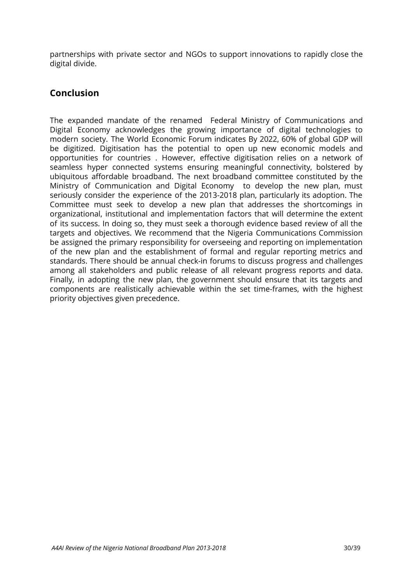partnerships with private sector and NGOs to support innovations to rapidly close the digital divide.

## <span id="page-30-0"></span>**Conclusion**

The expanded mandate of the renamed Federal Ministry of Communications and Digital Economy acknowledges the growing importance of digital technologies to modern society. The World Economic Forum indicates By 2022, 60% of global GDP will be digitized. Digitisation has the potential to open up new economic models and opportunities for countries . However, effective digitisation relies on a network of seamless hyper connected systems ensuring meaningful connectivity, bolstered by ubiquitous affordable broadband. The next broadband committee constituted by the Ministry of Communication and Digital Economy to develop the new plan, must seriously consider the experience of the 2013-2018 plan, particularly its adoption. The Committee must seek to develop a new plan that addresses the shortcomings in organizational, institutional and implementation factors that will determine the extent of its success. In doing so, they must seek a thorough evidence based review of all the targets and objectives. We recommend that the Nigeria Communications Commission be assigned the primary responsibility for overseeing and reporting on implementation of the new plan and the establishment of formal and regular reporting metrics and standards. There should be annual check-in forums to discuss progress and challenges among all stakeholders and public release of all relevant progress reports and data. Finally, in adopting the new plan, the government should ensure that its targets and components are realistically achievable within the set time-frames, with the highest priority objectives given precedence.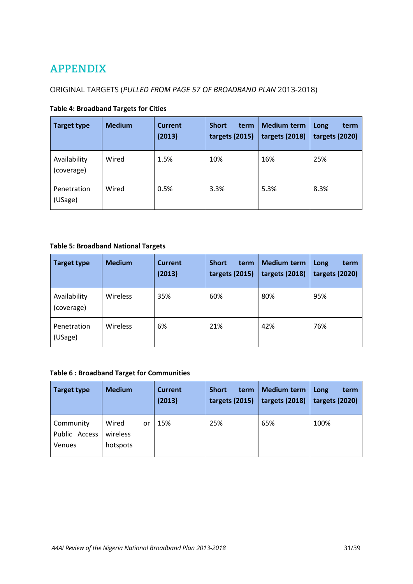## <span id="page-31-0"></span>APPENDIX

## ORIGINAL TARGETS (*PULLED FROM PAGE 57 OF BROADBAND PLAN* 2013-2018)

|  | <b>Table 4: Broadband Targets for Cities</b> |
|--|----------------------------------------------|
|--|----------------------------------------------|

| <b>Target type</b>         | <b>Medium</b> | <b>Current</b><br>(2013) | <b>Short</b><br>term<br>targets (2015) | <b>Medium term</b><br>targets (2018) | Long<br>term<br>targets (2020) |
|----------------------------|---------------|--------------------------|----------------------------------------|--------------------------------------|--------------------------------|
| Availability<br>(coverage) | Wired         | 1.5%                     | 10%                                    | 16%                                  | 25%                            |
| Penetration<br>(USage)     | Wired         | 0.5%                     | 3.3%                                   | 5.3%                                 | 8.3%                           |

#### **Table 5: Broadband National Targets**

| <b>Target type</b>         | <b>Medium</b>   | <b>Current</b><br>(2013) | <b>Short</b><br>term<br>targets (2015) | <b>Medium term</b><br>targets (2018) | Long<br>term<br>targets (2020) |
|----------------------------|-----------------|--------------------------|----------------------------------------|--------------------------------------|--------------------------------|
| Availability<br>(coverage) | Wireless        | 35%                      | 60%                                    | 80%                                  | 95%                            |
| Penetration<br>(USage)     | <b>Wireless</b> | 6%                       | 21%                                    | 42%                                  | 76%                            |

#### **Table 6 : Broadband Target for Communities**

| <b>Target type</b>                   | <b>Medium</b>                       | <b>Current</b><br>(2013) | <b>Short</b><br>term<br>targets (2015) | <b>Medium term</b><br>targets (2018) | Long<br>term<br>targets (2020) |
|--------------------------------------|-------------------------------------|--------------------------|----------------------------------------|--------------------------------------|--------------------------------|
| Community<br>Public Access<br>Venues | Wired<br>or<br>wireless<br>hotspots | 15%                      | 25%                                    | 65%                                  | 100%                           |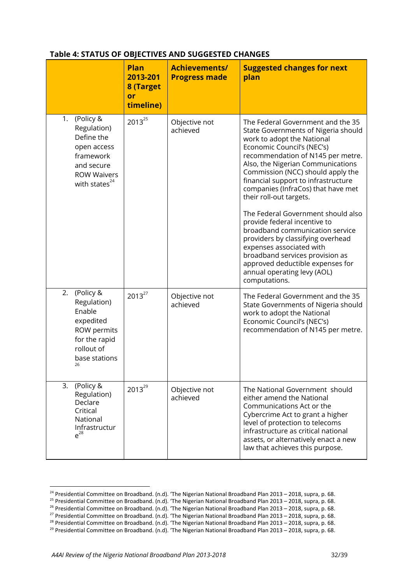#### **Table 4: STATUS OF OBJECTIVES AND SUGGESTED CHANGES**

|                                                                                                                                           | <b>Plan</b><br>2013-201<br>8 (Target<br>or<br>timeline) | <b>Achievements/</b><br><b>Progress made</b> | <b>Suggested changes for next</b><br>plan                                                                                                                                                                                                                                                                                                                                                                                                                                                                                                                                                                                                                    |
|-------------------------------------------------------------------------------------------------------------------------------------------|---------------------------------------------------------|----------------------------------------------|--------------------------------------------------------------------------------------------------------------------------------------------------------------------------------------------------------------------------------------------------------------------------------------------------------------------------------------------------------------------------------------------------------------------------------------------------------------------------------------------------------------------------------------------------------------------------------------------------------------------------------------------------------------|
| (Policy &<br>1.<br>Regulation)<br>Define the<br>open access<br>framework<br>and secure<br><b>ROW Waivers</b><br>with states <sup>24</sup> | $2013^{25}$                                             | Objective not<br>achieved                    | The Federal Government and the 35<br>State Governments of Nigeria should<br>work to adopt the National<br>Economic Council's (NEC's)<br>recommendation of N145 per metre.<br>Also, the Nigerian Communications<br>Commission (NCC) should apply the<br>financial support to infrastructure<br>companies (InfraCos) that have met<br>their roll-out targets.<br>The Federal Government should also<br>provide federal incentive to<br>broadband communication service<br>providers by classifying overhead<br>expenses associated with<br>broadband services provision as<br>approved deductible expenses for<br>annual operating levy (AOL)<br>computations. |
| 2.<br>(Policy &<br>Regulation)<br>Enable<br>expedited<br>ROW permits<br>for the rapid<br>rollout of<br>base stations<br>26                | $2013^{27}$                                             | Objective not<br>achieved                    | The Federal Government and the 35<br>State Governments of Nigeria should<br>work to adopt the National<br>Economic Council's (NEC's)<br>recommendation of N145 per metre.                                                                                                                                                                                                                                                                                                                                                                                                                                                                                    |
| 3.<br>(Policy &<br>Regulation)<br>Declare<br>Critical<br>National<br>Infrastructur<br>$e^{28}$                                            | $2013^{29}$                                             | Objective not<br>achieved                    | The National Government should<br>either amend the National<br>Communications Act or the<br>Cybercrime Act to grant a higher<br>level of protection to telecoms<br>infrastructure as critical national<br>assets, or alternatively enact a new<br>law that achieves this purpose.                                                                                                                                                                                                                                                                                                                                                                            |

<sup>&</sup>lt;sup>24</sup> Presidential Committee on Broadband. (n.d). 'The Nigerian National Broadband Plan 2013 – 2018, supra, p. 68.

<sup>&</sup>lt;sup>25</sup> Presidential Committee on Broadband. (n.d). 'The Nigerian National Broadband Plan 2013 – 2018, supra, p. 68.

<sup>&</sup>lt;sup>26</sup> Presidential Committee on Broadband. (n.d). 'The Nigerian National Broadband Plan 2013 – 2018, supra, p. 68.

<sup>&</sup>lt;sup>27</sup> Presidential Committee on Broadband. (n.d). 'The Nigerian National Broadband Plan 2013 – 2018, supra, p. 68.

<sup>&</sup>lt;sup>28</sup> Presidential Committee on Broadband. (n.d). 'The Nigerian National Broadband Plan 2013 – 2018, supra, p. 68.

<sup>&</sup>lt;sup>29</sup> Presidential Committee on Broadband. (n.d). 'The Nigerian National Broadband Plan 2013 – 2018, supra, p. 68.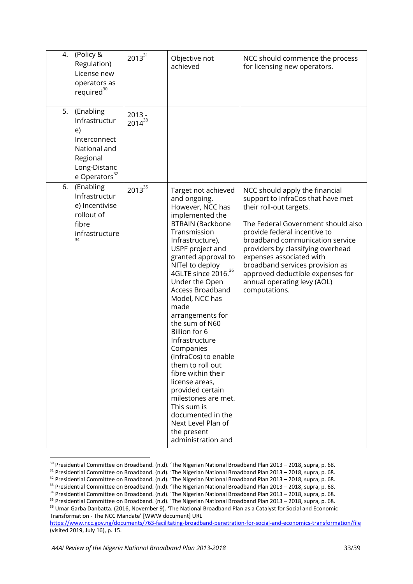| (Policy &<br>4.<br>Regulation)<br>License new<br>operators as<br>required <sup>30</sup>                                         | $2013^{31}$             | Objective not<br>achieved                                                                                                                                                                                                                                                                                                                                                                                                                                                                                                                                                                                                             | NCC should commence the process<br>for licensing new operators.                                                                                                                                                                                                                                                                                                                                 |
|---------------------------------------------------------------------------------------------------------------------------------|-------------------------|---------------------------------------------------------------------------------------------------------------------------------------------------------------------------------------------------------------------------------------------------------------------------------------------------------------------------------------------------------------------------------------------------------------------------------------------------------------------------------------------------------------------------------------------------------------------------------------------------------------------------------------|-------------------------------------------------------------------------------------------------------------------------------------------------------------------------------------------------------------------------------------------------------------------------------------------------------------------------------------------------------------------------------------------------|
| 5.<br>(Enabling<br>Infrastructur<br>e)<br>Interconnect<br>National and<br>Regional<br>Long-Distanc<br>e Operators <sup>32</sup> | $2013 -$<br>$2014^{33}$ |                                                                                                                                                                                                                                                                                                                                                                                                                                                                                                                                                                                                                                       |                                                                                                                                                                                                                                                                                                                                                                                                 |
| (Enabling<br>6.<br>Infrastructur<br>e) Incentivise<br>rollout of<br>fibre<br>infrastructure<br>34                               | $2013^{35}$             | Target not achieved<br>and ongoing.<br>However, NCC has<br>implemented the<br><b>BTRAIN (Backbone</b><br>Transmission<br>Infrastructure),<br>USPF project and<br>granted approval to<br>NITel to deploy<br>4GLTE since 2016. <sup>36</sup><br>Under the Open<br><b>Access Broadband</b><br>Model, NCC has<br>made<br>arrangements for<br>the sum of N60<br>Billion for 6<br>Infrastructure<br>Companies<br>(InfraCos) to enable<br>them to roll out<br>fibre within their<br>license areas,<br>provided certain<br>milestones are met.<br>This sum is<br>documented in the<br>Next Level Plan of<br>the present<br>administration and | NCC should apply the financial<br>support to InfraCos that have met<br>their roll-out targets.<br>The Federal Government should also<br>provide federal incentive to<br>broadband communication service<br>providers by classifying overhead<br>expenses associated with<br>broadband services provision as<br>approved deductible expenses for<br>annual operating levy (AOL)<br>computations. |

<sup>&</sup>lt;sup>30</sup> Presidential Committee on Broadband. (n.d). 'The Nigerian National Broadband Plan 2013 – 2018, supra, p. 68.

<sup>&</sup>lt;sup>31</sup> Presidential Committee on Broadband. (n.d). 'The Nigerian National Broadband Plan 2013 – 2018, supra, p. 68.

<sup>&</sup>lt;sup>32</sup> Presidential Committee on Broadband. (n.d). 'The Nigerian National Broadband Plan 2013 – 2018, supra, p. 68.<br><sup>33</sup> Presidential Committee on Broadband. (n.d). 'The Nigerian National Broadband Plan 2013 – 2018, supra,

<sup>&</sup>lt;sup>36</sup> Umar Garba Danbatta. (2016, November 9). 'The National Broadband Plan as a Catalyst for Social and Economic Transformation - The NCC Mandate' [WWW document] URL

<https://www.ncc.gov.ng/documents/763-facilitating-broadband-penetration-for-social-and-economics-transformation/file> (visited 2019, July 16), p. 15.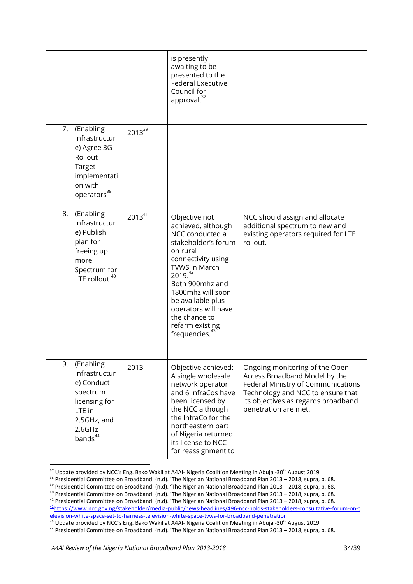|                                                                                                                                       |             | is presently<br>awaiting to be<br>presented to the<br><b>Federal Executive</b><br>Council for<br>approval. <sup>37</sup>                                                                                                                                                                          |                                                                                                                                                                                                           |
|---------------------------------------------------------------------------------------------------------------------------------------|-------------|---------------------------------------------------------------------------------------------------------------------------------------------------------------------------------------------------------------------------------------------------------------------------------------------------|-----------------------------------------------------------------------------------------------------------------------------------------------------------------------------------------------------------|
| (Enabling<br>7.<br>Infrastructur<br>e) Agree 3G<br>Rollout<br>Target<br>implementati<br>on with<br>operators <sup>38</sup>            | $2013^{39}$ |                                                                                                                                                                                                                                                                                                   |                                                                                                                                                                                                           |
| (Enabling<br>8.<br>Infrastructur<br>e) Publish<br>plan for<br>freeing up<br>more<br>Spectrum for<br>LTE rollout <sup>40</sup>         | $2013^{41}$ | Objective not<br>achieved, although<br>NCC conducted a<br>stakeholder's forum<br>on rural<br>connectivity using<br>TVWS in March<br>2019.42<br>Both 900mhz and<br>1800mhz will soon<br>be available plus<br>operators will have<br>the chance to<br>refarm existing<br>frequencies. <sup>43</sup> | NCC should assign and allocate<br>additional spectrum to new and<br>existing operators required for LTE<br>rollout.                                                                                       |
| 9.<br>(Enabling<br>Infrastructur<br>e) Conduct<br>spectrum<br>licensing for<br>LTE in<br>2.5GHz, and<br>2.6GHz<br>bands <sup>44</sup> | 2013        | Objective achieved:<br>A single wholesale<br>network operator<br>and 6 InfraCos have<br>been licensed by<br>the NCC although<br>the InfraCo for the<br>northeastern part<br>of Nigeria returned<br>its license to NCC<br>for reassignment to                                                      | Ongoing monitoring of the Open<br>Access Broadband Model by the<br>Federal Ministry of Communications<br>Technology and NCC to ensure that<br>its objectives as regards broadband<br>penetration are met. |

 $^{37}$  Update provided by NCC's Eng. Bako Wakil at A4AI- Nigeria Coalition Meeting in Abuja -30<sup>th</sup> August 2019

<sup>38</sup> Presidential Committee on Broadband. (n.d). 'The Nigerian National Broadband Plan 2013 – 2018, supra, p. 68.<br><sup>39</sup> Presidential Committee on Broadband. (n.d). 'The Nigerian National Broadband Plan 2013 – 2018, supra, p

<sup>42</sup>[https://www.ncc.gov.ng/stakeholder/media-public/news-headlines/496-ncc-holds-stakeholders-consultative-forum-on-t](https://www.ncc.gov.ng/stakeholder/media-public/news-headlines/496-ncc-holds-stakeholders-consultative-forum-on-television-white-space-set-to-harness-television-white-space-tvws-for-broadband-penetration) [elevision-white-space-set-to-harness-television-white-space-tvws-for-broadband-penetration](https://www.ncc.gov.ng/stakeholder/media-public/news-headlines/496-ncc-holds-stakeholders-consultative-forum-on-television-white-space-set-to-harness-television-white-space-tvws-for-broadband-penetration)<br><sup>43</sup> Update provided by NCC's Eng. Bako Wakil at A4AI- Nigeria Coalition Meeting in Abuja -30<sup>th</sup> August 2019

<sup>&</sup>lt;sup>44</sup> Presidential Committee on Broadband. (n.d). 'The Nigerian National Broadband Plan 2013 – 2018, supra, p. 68.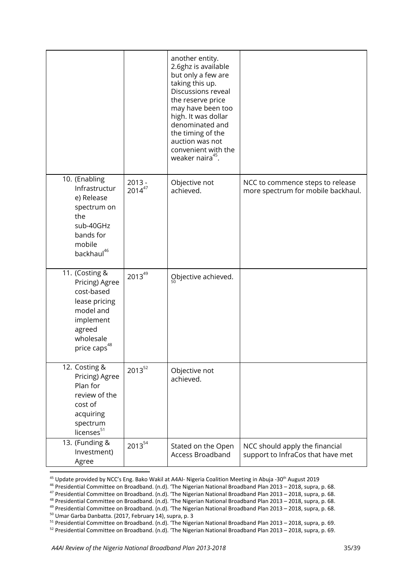|                                                                                                                                        |                         | another entity.<br>2.6ghz is available<br>but only a few are<br>taking this up.<br>Discussions reveal<br>the reserve price<br>may have been too<br>high. It was dollar<br>denominated and |                                                                        |
|----------------------------------------------------------------------------------------------------------------------------------------|-------------------------|-------------------------------------------------------------------------------------------------------------------------------------------------------------------------------------------|------------------------------------------------------------------------|
|                                                                                                                                        |                         | the timing of the<br>auction was not<br>convenient with the<br>weaker naira <sup>45</sup> .                                                                                               |                                                                        |
| 10. (Enabling<br>Infrastructur<br>e) Release<br>spectrum on<br>the<br>sub-40GHz<br>bands for<br>mobile<br>backhaul <sup>46</sup>       | $2013 -$<br>$2014^{47}$ | Objective not<br>achieved.                                                                                                                                                                | NCC to commence steps to release<br>more spectrum for mobile backhaul. |
| 11. (Costing &<br>Pricing) Agree<br>cost-based<br>lease pricing<br>model and<br>implement<br>agreed<br>wholesale<br>price caps $^{48}$ | $2013^{49}$             | Objective achieved.                                                                                                                                                                       |                                                                        |
| 12. Costing &<br>Pricing) Agree<br>Plan for<br>review of the<br>cost of<br>acquiring<br>spectrum<br>licenses <sup>51</sup>             | $2013^{52}$             | Objective not<br>achieved.                                                                                                                                                                |                                                                        |
| 13. (Funding &<br>Investment)<br>Agree                                                                                                 | $2013^{54}$             | Stated on the Open<br>Access Broadband                                                                                                                                                    | NCC should apply the financial<br>support to InfraCos that have met    |

<sup>&</sup>lt;sup>45</sup> Update provided by NCC's Eng. Bako Wakil at A4AI- Nigeria Coalition Meeting in Abuja -30<sup>th</sup> August 2019

<sup>&</sup>lt;sup>46</sup> Presidential Committee on Broadband. (n.d). 'The Nigerian National Broadband Plan 2013 – 2018, supra, p. 68.<br><sup>47</sup> Presidential Committee on Broadband. (n.d). 'The Nigerian National Broadband Plan 2013 – 2018, supra, p

<sup>&</sup>lt;sup>49</sup> Presidential Committee on Broadband. (n.d). 'The Nigerian National Broadband Plan 2013 – 2018, supra, p. 68.

<sup>&</sup>lt;sup>50</sup> Umar Garba Danbatta. (2017, February 14), supra, p. 3

<sup>&</sup>lt;sup>51</sup> Presidential Committee on Broadband. (n.d). 'The Nigerian National Broadband Plan 2013 – 2018, supra, p. 69.<br><sup>52</sup> Presidential Committee on Broadband. (n.d). 'The Nigerian National Broadband Plan 2013 – 2018, supra, p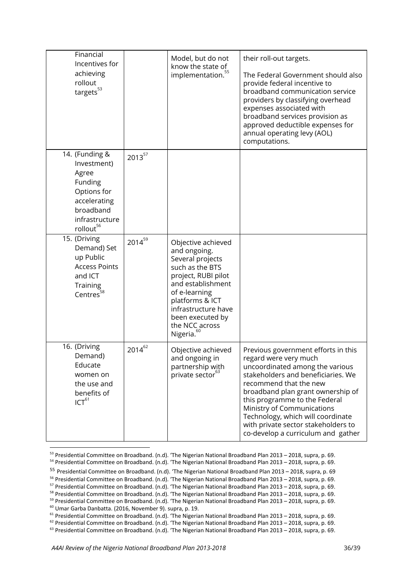| Financial<br>Incentives for<br>achieving<br>rollout<br>targets $^{53}$                                                                   |             | Model, but do not<br>know the state of<br>implementation. <sup>55</sup>                                                                                                                                                                          | their roll-out targets.<br>The Federal Government should also<br>provide federal incentive to<br>broadband communication service<br>providers by classifying overhead<br>expenses associated with<br>broadband services provision as<br>approved deductible expenses for<br>annual operating levy (AOL)<br>computations.                                                              |
|------------------------------------------------------------------------------------------------------------------------------------------|-------------|--------------------------------------------------------------------------------------------------------------------------------------------------------------------------------------------------------------------------------------------------|---------------------------------------------------------------------------------------------------------------------------------------------------------------------------------------------------------------------------------------------------------------------------------------------------------------------------------------------------------------------------------------|
| 14. (Funding &<br>Investment)<br>Agree<br>Funding<br>Options for<br>accelerating<br>broadband<br>infrastructure<br>rollout <sup>56</sup> | $2013^{57}$ |                                                                                                                                                                                                                                                  |                                                                                                                                                                                                                                                                                                                                                                                       |
| 15. (Driving<br>Demand) Set<br>up Public<br><b>Access Points</b><br>and ICT<br>Training<br>Centres $58$                                  | $2014^{59}$ | Objective achieved<br>and ongoing.<br>Several projects<br>such as the BTS<br>project, RUBI pilot<br>and establishment<br>of e-learning<br>platforms & ICT<br>infrastructure have<br>been executed by<br>the NCC across<br>Nigeria. <sup>60</sup> |                                                                                                                                                                                                                                                                                                                                                                                       |
| 16. (Driving<br>Demand)<br>Educate<br>women on<br>the use and<br>benefits of<br>ICT <sup>61</sup>                                        | $2014^{62}$ | Objective achieved<br>and ongoing in<br>partnership with<br>private sector <sup>63</sup>                                                                                                                                                         | Previous government efforts in this<br>regard were very much<br>uncoordinated among the various<br>stakeholders and beneficiaries. We<br>recommend that the new<br>broadband plan grant ownership of<br>this programme to the Federal<br>Ministry of Communications<br>Technology, which will coordinate<br>with private sector stakeholders to<br>co-develop a curriculum and gather |

<sup>53</sup> Presidential Committee on Broadband. (n.d). 'The Nigerian National Broadband Plan 2013 – 2018, supra, p. 69.

<sup>&</sup>lt;sup>54</sup> Presidential Committee on Broadband. (n.d). 'The Nigerian National Broadband Plan 2013 – 2018, supra, p. 69.

<sup>55</sup> Presidential Committee on Broadband. (n.d). 'The Nigerian National Broadband Plan 2013 – 2018, supra, p. 69

<sup>&</sup>lt;sup>56</sup> Presidential Committee on Broadband. (n.d). 'The Nigerian National Broadband Plan 2013 – 2018, supra, p. 69.<br><sup>57</sup> Presidential Committee on Broadband. (n.d). 'The Nigerian National Broadband Plan 2013 – 2018, supra, p

<sup>&</sup>lt;sup>59</sup> Presidential Committee on Broadband. (n.d). 'The Nigerian National Broadband Plan 2013 – 2018, supra, p. 69.

<sup>&</sup>lt;sup>60</sup> Umar Garba Danbatta. (2016, November 9). supra, p. 19.

<sup>&</sup>lt;sup>61</sup> Presidential Committee on Broadband. (n.d). 'The Nigerian National Broadband Plan 2013 – 2018, supra, p. 69.

<sup>&</sup>lt;sup>62</sup> Presidential Committee on Broadband. (n.d). 'The Nigerian National Broadband Plan 2013 – 2018, supra, p. 69.<br><sup>63</sup> Presidential Committee on Broadband. (n.d). 'The Nigerian National Broadband Plan 2013 – 2018, supra, p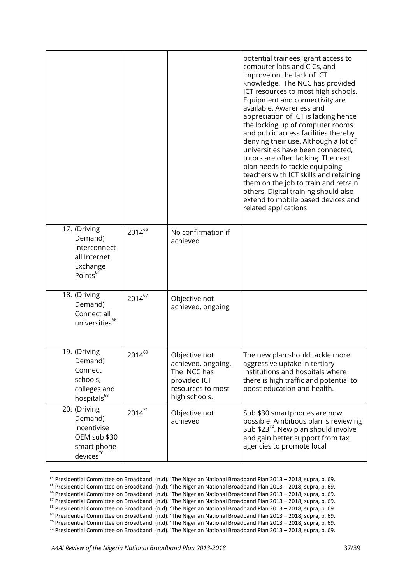|                                                                                                |             |                                                                                                          | potential trainees, grant access to<br>computer labs and CICs, and<br>improve on the lack of ICT<br>knowledge. The NCC has provided<br>ICT resources to most high schools.<br>Equipment and connectivity are<br>available. Awareness and<br>appreciation of ICT is lacking hence<br>the locking up of computer rooms<br>and public access facilities thereby<br>denying their use. Although a lot of<br>universities have been connected,<br>tutors are often lacking. The next<br>plan needs to tackle equipping<br>teachers with ICT skills and retaining<br>them on the job to train and retrain<br>others. Digital training should also<br>extend to mobile based devices and<br>related applications. |
|------------------------------------------------------------------------------------------------|-------------|----------------------------------------------------------------------------------------------------------|------------------------------------------------------------------------------------------------------------------------------------------------------------------------------------------------------------------------------------------------------------------------------------------------------------------------------------------------------------------------------------------------------------------------------------------------------------------------------------------------------------------------------------------------------------------------------------------------------------------------------------------------------------------------------------------------------------|
| 17. (Driving<br>Demand)<br>Interconnect<br>all Internet<br>Exchange<br>Points <sup>64</sup>    | $2014^{65}$ | No confirmation if<br>achieved                                                                           |                                                                                                                                                                                                                                                                                                                                                                                                                                                                                                                                                                                                                                                                                                            |
| 18. (Driving<br>Demand)<br>Connect all<br>universities $^{66}$                                 | $2014^{67}$ | Objective not<br>achieved, ongoing                                                                       |                                                                                                                                                                                                                                                                                                                                                                                                                                                                                                                                                                                                                                                                                                            |
| 19. (Driving<br>Demand)<br>Connect<br>schools,<br>colleges and<br>hospitals $^{68}$            | $2014^{69}$ | Objective not<br>achieved, ongoing.<br>The NCC has<br>provided ICT<br>resources to most<br>high schools. | The new plan should tackle more<br>aggressive uptake in tertiary<br>institutions and hospitals where<br>there is high traffic and potential to<br>boost education and health.                                                                                                                                                                                                                                                                                                                                                                                                                                                                                                                              |
| 20. (Driving<br>Demand)<br>Incentivise<br>OEM sub \$30<br>smart phone<br>devices <sup>70</sup> | $2014^{71}$ | Objective not<br>achieved                                                                                | Sub \$30 smartphones are now<br>possible. Ambitious plan is reviewing<br>Sub $$23^{72}$ . New plan should involve<br>and gain better support from tax<br>agencies to promote local                                                                                                                                                                                                                                                                                                                                                                                                                                                                                                                         |

<sup>&</sup>lt;sup>64</sup> Presidential Committee on Broadband. (n.d). 'The Nigerian National Broadband Plan 2013 – 2018, supra, p. 69.<br><sup>65</sup> Presidential Committee on Broadband. (n.d). 'The Nigerian National Broadband Plan 2013 – 2018, supra, p

<sup>&</sup>lt;sup>68</sup> Presidential Committee on Broadband. (n.d). 'The Nigerian National Broadband Plan 2013 – 2018, supra, p. 69.

<sup>&</sup>lt;sup>69</sup> Presidential Committee on Broadband. (n.d). 'The Nigerian National Broadband Plan 2013 – 2018, supra, p. 69.

<sup>&</sup>lt;sup>70</sup> Presidential Committee on Broadband. (n.d). 'The Nigerian National Broadband Plan 2013 – 2018, supra, p. 69.<br><sup>71</sup> Presidential Committee on Broadband. (n.d). 'The Nigerian National Broadband Plan 2013 – 2018, supra, p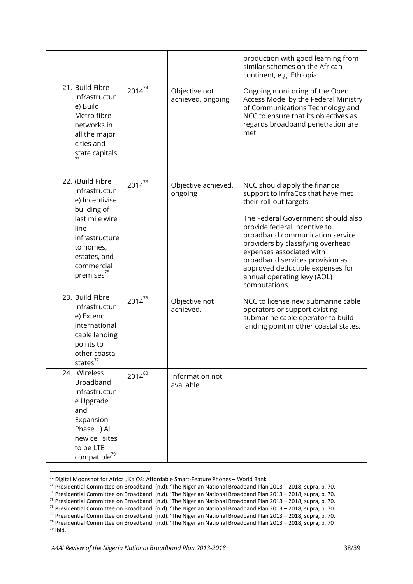|                                                                                                                                                                                     |             |                                    | production with good learning from<br>similar schemes on the African<br>continent, e.g. Ethiopia.                                                                                                                                                                                                                                                                                               |
|-------------------------------------------------------------------------------------------------------------------------------------------------------------------------------------|-------------|------------------------------------|-------------------------------------------------------------------------------------------------------------------------------------------------------------------------------------------------------------------------------------------------------------------------------------------------------------------------------------------------------------------------------------------------|
| 21. Build Fibre<br>Infrastructur<br>e) Build<br>Metro fibre<br>networks in<br>all the major<br>cities and<br>state capitals<br>73                                                   | $2014^{74}$ | Objective not<br>achieved, ongoing | Ongoing monitoring of the Open<br>Access Model by the Federal Ministry<br>of Communications Technology and<br>NCC to ensure that its objectives as<br>regards broadband penetration are<br>met.                                                                                                                                                                                                 |
| 22. (Build Fibre<br>Infrastructur<br>e) Incentivise<br>building of<br>last mile wire<br>line<br>infrastructure<br>to homes,<br>estates, and<br>commercial<br>premises <sup>75</sup> | $2014^{76}$ | Objective achieved,<br>ongoing     | NCC should apply the financial<br>support to InfraCos that have met<br>their roll-out targets.<br>The Federal Government should also<br>provide federal incentive to<br>broadband communication service<br>providers by classifying overhead<br>expenses associated with<br>broadband services provision as<br>approved deductible expenses for<br>annual operating levy (AOL)<br>computations. |
| 23. Build Fibre<br>Infrastructur<br>e) Extend<br>international<br>cable landing<br>points to<br>other coastal<br>states $^{77}$                                                     | $2014^{78}$ | Objective not<br>achieved.         | NCC to license new submarine cable<br>operators or support existing<br>submarine cable operator to build<br>landing point in other coastal states.                                                                                                                                                                                                                                              |
| 24. Wireless<br>Broadband<br>Infrastructur<br>e Upgrade<br>and<br>Expansion<br>Phase 1) All<br>new cell sites<br>to be LTE<br>compatible <sup>79</sup>                              | $2014^{80}$ | Information not<br>available       |                                                                                                                                                                                                                                                                                                                                                                                                 |

<sup>&</sup>lt;sup>72</sup> Digital Moonshot for Africa, KaiOS: Affordable Smart-Feature Phones – World Bank

79 Ibid.

<sup>&</sup>lt;sup>73</sup> Presidential Committee on Broadband. (n.d). 'The Nigerian National Broadband Plan 2013 – 2018, supra, p. 70.<br><sup>74</sup> Presidential Committee on Broadband. (n.d). 'The Nigerian National Broadband Plan 2013 – 2018, supra, p

<sup>&</sup>lt;sup>76</sup> Presidential Committee on Broadband. (n.d). 'The Nigerian National Broadband Plan 2013 – 2018, supra, p. 70.

<sup>&</sup>lt;sup>77</sup> Presidential Committee on Broadband. (n.d). 'The Nigerian National Broadband Plan 2013 – 2018, supra, p. 70.

<sup>&</sup>lt;sup>78</sup> Presidential Committee on Broadband. (n.d). 'The Nigerian National Broadband Plan 2013 – 2018, supra, p. 70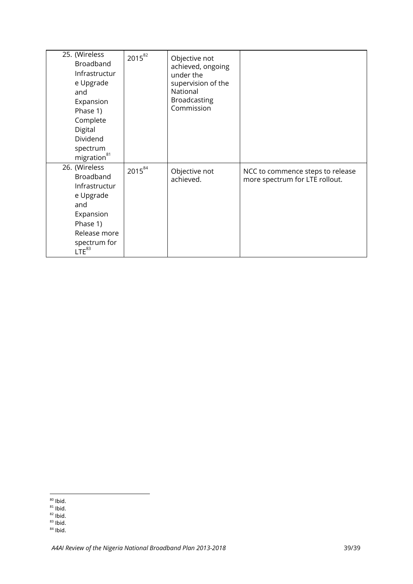| 25. (Wireless<br>Broadband<br>Infrastructur<br>e Upgrade<br>and<br>Expansion<br>Phase 1)<br>Complete<br>Digital<br>Dividend<br>spectrum<br>migration <sup>81</sup> | $2015^{82}$ | Objective not<br>achieved, ongoing<br>under the<br>supervision of the<br>National<br>Broadcasting<br>Commission |                                                                    |
|--------------------------------------------------------------------------------------------------------------------------------------------------------------------|-------------|-----------------------------------------------------------------------------------------------------------------|--------------------------------------------------------------------|
| 26. (Wireless<br>Broadband<br>Infrastructur<br>e Upgrade<br>and<br>Expansion<br>Phase 1)<br>Release more<br>spectrum for<br>$LTE^{83}$                             | $2015^{84}$ | Objective not<br>achieved.                                                                                      | NCC to commence steps to release<br>more spectrum for LTE rollout. |

<sup>&</sup>lt;sup>80</sup> Ibid.<br><sup>81</sup> Ibid.<br><sup>82</sup> Ibid.<br><sup>83</sup> Ibid.